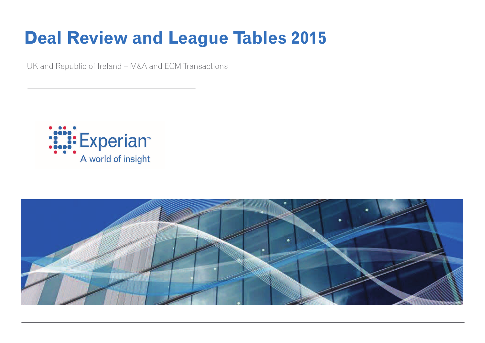# **Deal Review and League Tables 2015**

UK and Republic of Ireland – M&A and ECM Transactions



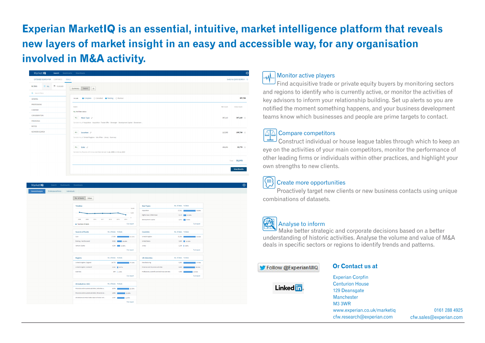## Experian MarketIQ is an essential, intuitive, market intelligence platform that reveals new layers of market insight in an easy and accessible way, for any organisation involved in M&A activity.

| Market IQ<br>Search                                                    | Bookmarks Downloads                                                                                     |           | $\ddot{\mathbf{Q}}$       |
|------------------------------------------------------------------------|---------------------------------------------------------------------------------------------------------|-----------|---------------------------|
| EXTENDED SEARCH FOR<br>COMPANIES                                       | <b>DEALS</b>                                                                                            |           | Switch to QUICK SEARCH -> |
| P FLAGGED<br>$\equiv$ ALL<br><b>FILTERS</b><br><b>Q</b> Search filters | Details   *<br>Summary                                                                                  |           |                           |
| <b>GENERAL</b>                                                         | Complete C Cancelled C Pending C Rumour<br>Include                                                      |           | 397,786                   |
| <b>PROFESSIONS</b><br>COMPANY                                          | Match                                                                                                   | Net Count | <b>Gross Count</b>        |
| CONSIDERATION                                                          | ALL the filters below<br>ALL Main Type $\phi$                                                           | 387,110   | 387,110 $\times$          |
| <b>FINANCIALS</b><br><b>RATIOS</b>                                     | Consider Any of Acquisition - Acquisition - Tender Offer - Demerger - Development Capital - Divestment  |           |                           |
| <b>KEYWORD SEARCH</b>                                                  | ALL <b>Location</b> $\varnothing$<br>Consider Any of United Kingdom - Isle of Man - Jersey - Guernsey   | 113,968   | $109,716 \times$          |
|                                                                        | ALL Date $\varnothing$<br>Consider Any Records with Announced Date between 1 Jan, 2008 and 31 Jul, 2014 | 182,201   | $33,773 \times$           |
|                                                                        |                                                                                                         |           | Total 33,773              |
|                                                                        |                                                                                                         |           | <b>View Results</b>       |

| Market IQ<br>Search Bookmarks Downloads                      |                                                   |                       |                                                   |                       |
|--------------------------------------------------------------|---------------------------------------------------|-----------------------|---------------------------------------------------|-----------------------|
| <b>General Analysis</b><br>Professional Firms<br>Individuals |                                                   |                       |                                                   |                       |
|                                                              | Value<br>No. of deals                             |                       |                                                   |                       |
|                                                              | Timeline                                          | 10,000                | <b>Deal Types</b>                                 | No. of deals 96 Deals |
|                                                              |                                                   | 5,000                 | Acquisition                                       | 17,921<br>53,06%      |
|                                                              |                                                   | $\circ$               | Rights Issue / Other Issue                        | 4,115 12.18%          |
|                                                              | 2009<br>2010<br>2011<br>2008                      | 2012<br>2012<br>2014  | Development Capital                               | 2,872 8.50%           |
|                                                              | · Number of deals                                 | <b>Full report</b>    |                                                   | Full report           |
|                                                              | <b>Sources of Funds</b>                           | No. of deals % Deals  | Countries                                         | No. of deals 96 Deals |
|                                                              | Cash                                              | 17,363<br>51.41%      | <b>United Kingdom</b>                             | 31,584<br>93.52%      |
|                                                              | Existing / Not Disclosed                          | 6,822 20.20%          | United States                                     | 3,889 21.52%          |
|                                                              | Venture Capital                                   | 4,384 22,98%          | Jersey                                            | 1,199   3,55%         |
|                                                              |                                                   | <b>Full report</b>    |                                                   | <b>Full report</b>    |
|                                                              | <b>Regions</b>                                    | No. of deals % Deals  | <b>UK Industries</b>                              | No. of deals 96 Deals |
|                                                              | United Kingdom, England                           | 24,770<br>73.3496     | Manufacturing                                     | 9,363<br>27.72%       |
|                                                              | United Kingdom, Scotland                          | 2,321 6.87%           | Financial and Insurance activities                | 8,606<br>26.31%       |
|                                                              | Guernsey                                          | 854   2.53%           | Professional, scientific and technical activities | 7,065<br>20.92%       |
|                                                              |                                                   | <b>Full report</b>    |                                                   | Full report           |
|                                                              | <b>US Industries (SIC)</b>                        | No. of deals 96 Deals |                                                   |                       |
|                                                              | Financial and Insurance activities   Activities a | 0,975<br>20.65%       |                                                   |                       |
|                                                              | Financial and Insurance activities   Financial se | 4,092<br>13.89%       |                                                   |                       |
|                                                              | Wholesale and retail trade; repair of motor veh   | 4,367<br>12.93%       |                                                   |                       |
|                                                              |                                                   | <b>Full report</b>    |                                                   |                       |

#### Monitor active players

Find acquisitive trade or private equity buyers by monitoring sectors and regions to identify who is currently active, or monitor the activities of key advisors to inform your relationship building. Set up alerts so you are notified the moment something happens, and your business development teams know which businesses and people are prime targets to contact.

#### **△△△** Compare competitors

Construct individual or house league tables through which to keep an eye on the activities of your main competitors, monitor the performance of other leading firms or individuals within other practices, and highlight your own strengths to new clients.

### Create more opportunities

Proactively target new clients or new business contacts using unique combinations of datasets.



### Analyse to inform

Make better strategic and corporate decisions based on a better understanding of historic activities. Analyse the volume and value of M&A deals in specific sectors or regions to identify trends and patterns.

#### Follow @ExperianMIQ

#### **Or Contact us at**



**Experian Corpfin Centurion House** 129 Deansgate Manchester **M3 3WR** www.experian.co.uk/marketig cfw.research@experian.com

0161 288 4925 cfw.sales@experian.com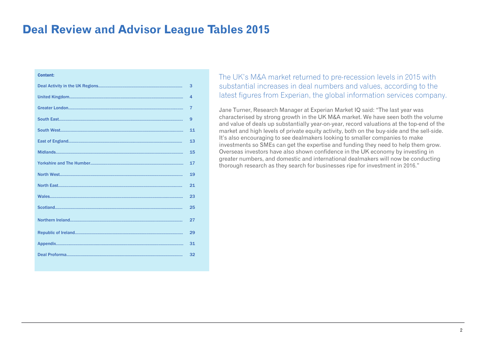### **Deal Review and Advisor League Tables 2015**

#### Content:

| 3              |
|----------------|
| 4              |
| $\overline{7}$ |
| 9              |
| 11             |
| 13             |
| 15             |
| 17             |
| 19             |
| 21             |
| 23             |
| 25             |
| 27             |
| 29             |
| 31             |
| 32             |
|                |

The UK's M&A market returned to pre-recession levels in 2015 with substantial increases in deal numbers and values, according to the latest figures from Experian, the global information services company.

Jane Turner, Research Manager at Experian Market IQ said: "The last year was characterised by strong growth in the UK M&A market. We have seen both the volume and value of deals up substantially year-on-year, record valuations at the top-end of the market and high levels of private equity activity, both on the buy-side and the sell-side. It's also encouraging to see dealmakers looking to smaller companies to make investments so SMEs can get the expertise and funding they need to help them grow. Overseas investors have also shown confidence in the UK economy by investing in greater numbers, and domestic and international dealmakers will now be conducting thorough research as they search for businesses ripe for investment in 2016."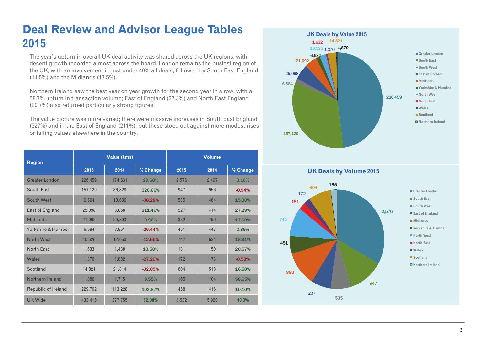### **Deal Review and Advisor League Tables 2015**

The year's upturn in overall UK deal activity was shared across the UK regions, with decent growth recorded almost across the board. London remains the busiest region of the UK, with an involvement in just under 40% all deals, followed by South East England (14.5%) and the Midlands (13.5%).

Northern Ireland saw the best year on year growth for the second year in a row, with a 58.7% upturn in transaction volume; East of England (27.3%) and North East England (20.7%) also returned particularly strong figures.

The value picture was more varied; there were massive increases in South East England (327%) and in the East of England (211%), but these stood out against more modest rises or falling values elsewhere in the country.

| <b>Region</b>         | Value (£ms) |         |           | <b>Volume</b> |       |          |
|-----------------------|-------------|---------|-----------|---------------|-------|----------|
|                       | 2015        | 2014    | % Change  | 2015          | 2014  | % Change |
| <b>Greater London</b> | 226,459     | 174,631 | 29.68%    | 2,576         | 2,497 | 3.16%    |
| South East            | 157,129     | 36,828  | 326.66%   | 947           | 956   | $-0.94%$ |
| South West            | 6,564       | 10,636  | $-38.28%$ | 535           | 464   | 15.30%   |
| East of England       | 25,098      | 8,058   | 211.46%   | 527           | 414   | 27.29%   |
| <b>Midlands</b>       | 21,092      | 20,893  | 0.96%     | 882           | 750   | 17.60%   |
| Yorkshire & Humber    | 6,584       | 8,951   | $-26.44%$ | 451           | 447   | 0.89%    |
| North West            | 10,526      | 12,050  | $-12.65%$ | 742           | 624   | 18.91%   |
| North Fast            | 1,633       | 1,438   | 13.58%    | 181           | 150   | 20.67%   |
| Wales                 | 1,370       | 1,882   | $-27.20%$ | 172           | 173   | $-0.58%$ |
| Scotland              | 14,821      | 21,814  | $-32.05%$ | 604           | 518   | 16.60%   |
| Northern Ireland      | 1.880       | 1,715   | 9.55%     | 165           | 104   | 58.65%   |
| Republic of Ireland   | 229,702     | 113,228 | 102.87%   | 458           | 416   | 10.10%   |
| <b>UK Wide</b>        | 433,415     | 277,755 | 52.08%    | 6,532         | 5,920 | 10.3%    |



**UK Deals by Volume 2015**

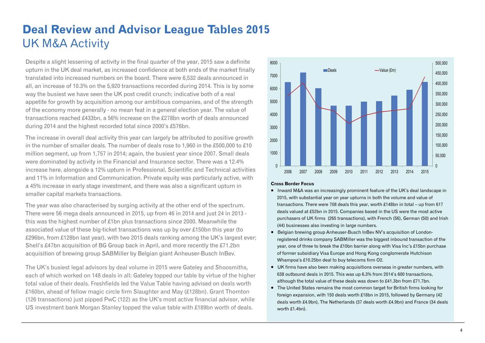### **Deal Review and Advisor League Tables 2015**  UK M&A Activity

Despite a slight lessening of activity in the final quarter of the year, 2015 saw a definite upturn in the UK deal market, as increased confidence at both ends of the market finally translated into increased numbers on the board. There were 6,532 deals announced in all, an increase of 10.3% on the 5,920 transactions recorded during 2014. This is by some way the busiest we have seen the UK post credit crunch; indicative both of a real appetite for growth by acquisition among our ambitious companies, and of the strength of the economy more generally - no mean feat in a general election year. The value of transactions reached £433bn, a 56% increase on the £278bn worth of deals announced during 2014 and the highest recorded total since 2000's £576bn.

The increase in overall deal activity this year can largely be attributed to positive growth in the number of smaller deals. The number of deals rose to 1,960 in the £500,000 to £10 million segment, up from 1,757 in 2014; again, the busiest year since 2007. Small deals were dominated by activity in the Financial and Insurance sector. There was a 12.4% increase here, alongside a 12% upturn in Professional, Scientific and Technical activities and 11% in Information and Communication. Private equity was particularly active, with a 45% increase in early stage investment, and there was also a significant upturn in smaller capital markets transactions.

The year was also characterised by surging activity at the other end of the spectrum. There were 56 mega deals announced in 2015, up from 46 in 2014 and just 24 in 2013 this was the highest number of £1bn plus transactions since 2000. Meanwhile the associated value of these big-ticket transactions was up by over £150bn this year (to £296bn, from £128bn last year), with two 2015 deals ranking among the UK's largest ever; Shell's £47bn acquisition of BG Group back in April, and more recently the £71.2bn acquisition of brewing group SABMiller by Belgian giant Anheuser-Busch InBev.

The UK's busiest legal advisors by deal volume in 2015 were Gateley and Shoosmiths, each of which worked on 148 deals in all; Gateley topped our table by virtue of the higher total value of their deals. Freshfields led the Value Table having advised on deals worth £160bn, ahead of fellow magic circle firm Slaughter and May (£128bn). Grant Thornton (126 transactions) just pipped PwC (122) as the UK's most active financial advisor, while US investment bank Morgan Stanley topped the value table with £189bn worth of deals.



#### **Cross Border Focus**

- Inward M&A was an increasingly prominent feature of the UK's deal landscape in 2015, with substantial year on year upturns in both the volume and value of transactions. There were 708 deals this year, worth £148bn in total – up from 617 deals valued at £52bn in 2015. Companies based in the US were the most active purchasers of UK firms (265 transactions), with French (56), German (50) and Irish (44) businesses also investing in large numbers.
- Belgian brewing group Anheuser-Busch InBev NV's acquisition of Londonregistered drinks company SABMiller was the biggest inbound transaction of the year, one of three to break the £10bn barrier along with Visa Inc's £15bn purchase of former subsidiary Visa Europe and Hong Kong conglomerate Hutchison Whampoa's £10.25bn deal to buy telecoms firm O2.
- UK firms have also been making acquisitions overseas in greater numbers, with 638 outbound deals in 2015. This was up 6.3% from 2014's 600 transactions, although the total value of these deals was down to £41.3bn from £71.7bn.
- The United States remains the most common target for British firms looking for foreign expansion, with 150 deals worth £18bn in 2015, followed by Germany (42 deals worth £4.9bn), The Netherlands (37 deals worth £4.9bn) and France (34 deals worth £1.4bn).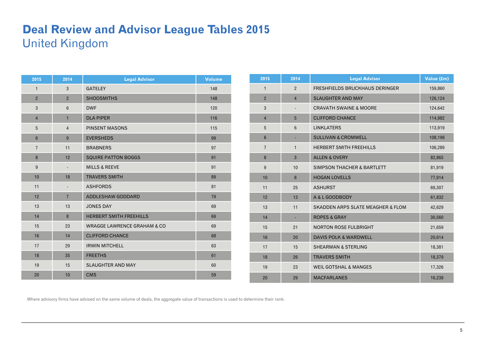### **Deal Review and Advisor League Tables 2015**  United Kingdom

| 2015           | 2014                     | <b>Legal Advisor</b>                   | <b>Volume</b> |
|----------------|--------------------------|----------------------------------------|---------------|
| $\mathbf{1}$   | 3                        | <b>GATELEY</b>                         | 148           |
| $\overline{2}$ | $\overline{2}$           | <b>SHOOSMITHS</b>                      | 148           |
| 3              | $6\overline{6}$          | <b>DWF</b>                             | 120           |
| $\overline{4}$ | $\mathbf{1}$             | <b>DLA PIPER</b>                       | 116           |
| 5              | $\overline{4}$           | <b>PINSENT MASONS</b>                  | 115           |
| $6\phantom{1}$ | $\overline{9}$           | <b>EVERSHEDS</b>                       | 99            |
| $\overline{7}$ | 11                       | <b>BRABNERS</b>                        | 97            |
| 8              | 12                       | <b>SQUIRE PATTON BOGGS</b>             | 91            |
| 9              | $\frac{1}{2}$            | <b>MILLS &amp; REEVE</b>               | 91            |
| 10             | 18                       | <b>TRAVERS SMITH</b>                   | 89            |
| 11             | $\overline{\phantom{a}}$ | <b>ASHFORDS</b>                        | 81            |
| 12             | $\overline{7}$           | ADDLESHAW GODDARD                      | 79            |
| 13             | 13                       | <b>JONES DAY</b>                       | 69            |
| 14             | 8                        | <b>HERBERT SMITH FREEHILLS</b>         | 69            |
| 15             | 23                       | <b>WRAGGE LAWRENCE GRAHAM &amp; CO</b> | 69            |
| 16             | 14                       | <b>CLIFFORD CHANCE</b>                 | 68            |
| 17             | 29                       | <b>IRWIN MITCHELL</b>                  | 63            |
| 18             | 35                       | <b>FREETHS</b>                         | 61            |
| 19             | 15                       | <b>SLAUGHTER AND MAY</b>               | 60            |
| 20             | 10                       | <b>CMS</b>                             | 59            |

| 2015           | 2014            | <b>Legal Advisor</b>                         | Value (£m) |
|----------------|-----------------|----------------------------------------------|------------|
| $\mathbf{1}$   | $\overline{2}$  | FRESHFIELDS BRUCKHAUS DERINGER               | 159,860    |
| $\overline{2}$ | $\overline{4}$  | <b>SLAUGHTER AND MAY</b>                     | 126,124    |
| 3              |                 | <b>CRAVATH SWAINE &amp; MOORE</b>            | 124,642    |
| $\overline{4}$ | 5               | <b>CLIFFORD CHANCE</b>                       | 114,982    |
| 5              | $6\phantom{1}6$ | <b>LINKLATERS</b>                            | 113,919    |
| $6\phantom{1}$ |                 | <b>SULLIVAN &amp; CROMWELL</b>               | 108,198    |
| $\overline{7}$ | $\mathbf{1}$    | <b>HERBERT SMITH FREEHILLS</b>               | 106,289    |
| 8              | 3               | <b>ALLEN &amp; OVERY</b>                     | 82,865     |
| 9              | 10              | <b>SIMPSON THACHER &amp; BARTLETT</b>        | 81,919     |
| 10             | 8               | <b>HOGAN LOVELLS</b>                         | 77,914     |
| 11             | 25              | <b>ASHURST</b>                               | 69,307     |
| 12             | 13              | A & L GOODBODY                               | 61,832     |
| 13             | 11              | <b>SKADDEN ARPS SLATE MEAGHER &amp; FLOM</b> | 42,629     |
| 14             |                 | <b>ROPES &amp; GRAY</b>                      | 30,560     |
| 15             | 21              | <b>NORTON ROSE FULBRIGHT</b>                 | 21,659     |
| 16             | 20              | <b>DAVIS POLK &amp; WARDWELL</b>             | 20,614     |
| 17             | 15              | <b>SHEARMAN &amp; STERLING</b>               | 18,381     |
| 18             | 26              | <b>TRAVERS SMITH</b>                         | 18,379     |
| 19             | 23              | <b>WEIL GOTSHAL &amp; MANGES</b>             | 17,326     |
| 20             | 29              | <b>MACFARLANES</b>                           | 16,238     |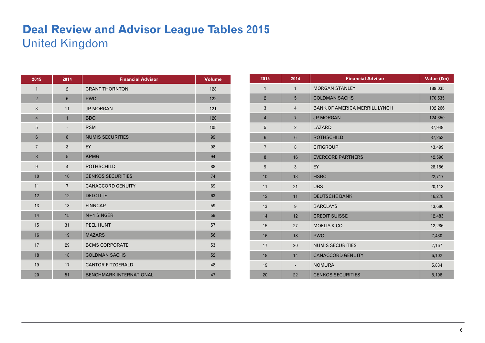### **Deal Review and Advisor League Tables 2015**  United Kingdom

| 2015             | 2014           | <b>Financial Advisor</b>       | <b>Volume</b> |
|------------------|----------------|--------------------------------|---------------|
| $\mathbf{1}$     | $\overline{2}$ | <b>GRANT THORNTON</b>          | 128           |
| $\overline{2}$   | $6\phantom{1}$ | <b>PWC</b>                     | 122           |
| 3                | 11             | <b>JP MORGAN</b>               | 121           |
| $\overline{4}$   | $\mathbf{1}$   | <b>BDO</b>                     | 120           |
| 5                | $\overline{a}$ | <b>RSM</b>                     | 105           |
| $6\phantom{1}$   | 8              | <b>NUMIS SECURITIES</b>        | 99            |
| $\overline{7}$   | 3              | EY                             | 98            |
| $\boldsymbol{8}$ | $5\phantom{.}$ | <b>KPMG</b>                    | 94            |
| $9\,$            | $\overline{4}$ | <b>ROTHSCHILD</b>              | 88            |
| 10               | 10             | <b>CENKOS SECURITIES</b>       | 74            |
| 11               | $\overline{7}$ | <b>CANACCORD GENUITY</b>       | 69            |
| 12               | 12             | <b>DELOITTE</b>                | 63            |
| 13               | 13             | <b>FINNCAP</b>                 | 59            |
| 14               | 15             | N+1 SINGER                     | 59            |
| 15               | 31             | <b>PEEL HUNT</b>               | 57            |
| 16               | 19             | <b>MAZARS</b>                  | 56            |
| 17               | 29             | <b>BCMS CORPORATE</b>          | 53            |
| 18               | 18             | <b>GOLDMAN SACHS</b>           | 52            |
| 19               | 17             | <b>CANTOR FITZGERALD</b>       | 48            |
| 20               | 51             | <b>BENCHMARK INTERNATIONAL</b> | 47            |

| 2015             | 2014            | <b>Financial Advisor</b>             | Value (£m) |
|------------------|-----------------|--------------------------------------|------------|
| $\mathbf{1}$     | $\mathbf{1}$    | <b>MORGAN STANLEY</b>                | 189,035    |
| $\overline{2}$   | 5               | <b>GOLDMAN SACHS</b>                 | 170,535    |
| 3                | $\overline{4}$  | <b>BANK OF AMERICA MERRILL LYNCH</b> | 102,266    |
| $\overline{4}$   | $\overline{7}$  | <b>JP MORGAN</b>                     | 124,350    |
| $5\phantom{.0}$  | $\overline{2}$  | LAZARD                               | 87,949     |
| $\boldsymbol{6}$ | $6\phantom{1}6$ | <b>ROTHSCHILD</b>                    | 87,253     |
| $\overline{7}$   | $\bf 8$         | <b>CITIGROUP</b>                     | 43,499     |
| 8                | 16              | <b>EVERCORE PARTNERS</b>             | 42,590     |
| 9                | 3               | EY                                   | 28,156     |
| 10               | 13              | <b>HSBC</b>                          | 22,717     |
| 11               | 21              | <b>UBS</b>                           | 20,113     |
| 12               | 11              | <b>DEUTSCHE BANK</b>                 | 16,278     |
| 13               | 9               | <b>BARCLAYS</b>                      | 13,680     |
| 14               | 12              | <b>CREDIT SUISSE</b>                 | 12,483     |
| 15               | 27              | <b>MOELIS &amp; CO</b>               | 12,286     |
| 16               | 18              | <b>PWC</b>                           | 7,430      |
| 17               | 20              | <b>NUMIS SECURITIES</b>              | 7,167      |
| 18               | 14              | <b>CANACCORD GENUITY</b>             | 6,102      |
| 19               |                 | <b>NOMURA</b>                        | 5,834      |
| 20               | 22              | <b>CENKOS SECURITIES</b>             | 5,196      |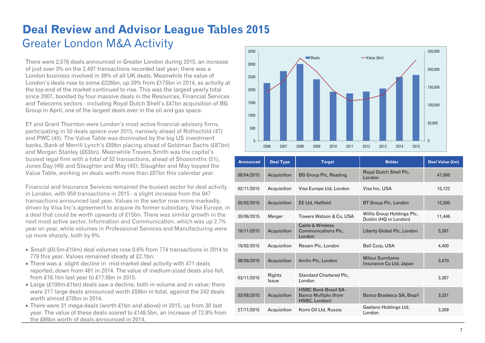## **Deal Review and Advisor League Tables 2015**  Greater London M&A Activity

There were 2,576 deals announced in Greater London during 2015, an increase of just over 3% on the 2,497 transactions recorded last year; there was a London business involved in 39% of all UK deals. Meanwhile the value of London's deals rose to some £226bn, up 29% from £175bn in 2014, as activity at the top end of the market continued to rise. This was the largest yearly total since 2007, boosted by four massive deals in the Resources, Financial Services and Telecoms sectors - including Royal Dutch Shell's £47bn acquisition of BG Group in April, one of the largest deals ever in the oil and gas space.

EY and Grant Thornton were London's most active financial advisory firms, participating in 50 deals apiece over 2015, narrowly ahead of Rothschild (47) and PWC (45). The Value Table was dominated by the big US investment banks, Bank of Merrill Lynch's £89bn placing ahead of Goldman Sachs (£87bn) and Morgan Stanley (£83bn). Meanwhile Travers Smith was the capital's busiest legal firm with a total of 52 transactions, ahead of Shoosmiths (51), Jones Day (49) and Slaughter and May (45); Slaughter and May topped the Value Table, working on deals worth more than £87bn this calendar year.

Financial and Insurance Services remained the busiest sector for deal activity in London, with 959 transactions in 2015 - a slight increase from the 947 transactions announced last year. Values in the sector rose more markedly, driven by Visa Inc's agreement to acquire its former subsidiary, Visa Europe, in a deal that could be worth upwards of £15bn. There was similar growth in the next most active sector, Information and Communication, which was up 2.7% year on year, while volumes in Professional Services and Manufacturing were up more sharply, both by 9%.

- Small (£0.5m-£10m) deal volumes rose 0.6% from 774 transactions in 2014 to 779 this year. Values remained steady at £2.1bn.
- There was a slight decline in mid-market deal activity with 471 deals reported, down from 481 in 2014. The value of medium-sized deals also fell, from £18.1bn last year to £17.6bn in 2015.
- Large (£100m-£1bn) deals saw a decline, both in volume and in value; there were 217 large deals announced worth £59bn in total, against the 242 deals worth almost £70bn in 2014.
- There were 31 mega-deals (worth £1bn and above) in 2015, up from 30 last year. The value of these deals soared to £148.5bn, an increase of 72.8% from the £86bn worth of deals announced in 2014.



| <b>Announced</b> | <b>Deal Type</b> | <b>Target</b>                                                         | <b>Bidder</b>                                       | Deal Value (£m) |
|------------------|------------------|-----------------------------------------------------------------------|-----------------------------------------------------|-----------------|
| 08/04/2015       | Acquisition      | <b>BG Group Plc, Reading</b>                                          | Royal Dutch Shell Plc,<br>London                    | 47,000          |
| 02/11/2015       | Acquisition      | Visa Europe Ltd, London                                               | Visa Inc. USA                                       | 15,122          |
| 05/02/2015       | Acquisition      | <b>EE Ltd, Hatfield</b>                                               | BT Group Plc, London                                | 12,500          |
| 30/06/2015       | Merger           | Towers Watson & Co, USA                                               | Willis Group Holdings Plc,<br>Dublin (HQ in London) | 11,446          |
| 16/11/2015       | Acquisition      | Cable & Wireless<br>Communications Plc,<br>London                     | Liberty Global Plc, London                          | 5,381           |
| 19/02/2015       | Acquisition      | Rexam Plc, London                                                     | Ball Corp, USA                                      | 4,400           |
| 08/09/2015       | Acquisition      | Amlin Plc, London                                                     | Mitsui Sumitomo<br>Insurance Co Ltd, Japan          | 3,470           |
| 03/11/2015       | Rights<br>Issue  | Standard Chartered Plc,<br>London                                     |                                                     | 3,387           |
| 03/08/2015       | Acquisition      | <b>HSBC Bank Brasil SA -</b><br>Banco Multiplo (from<br>HSBC, London) | Banco Bradesco SA, Brazil                           | 3,331           |
| 27/11/2015       | Acquisition      | Komi Oil Ltd, Russia                                                  | Gaetano Holdings Ltd,<br>London                     | 3,309           |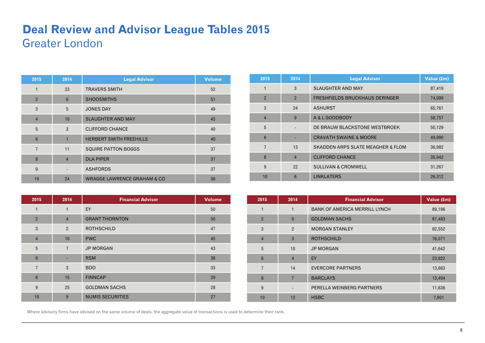### **Deal Review and Advisor League Tables 2015**  Greater London

| 2015           | 2014           | <b>Legal Advisor</b>                   | <b>Volume</b> |
|----------------|----------------|----------------------------------------|---------------|
| 1              | 23             | <b>TRAVERS SMITH</b>                   | 52            |
| $\overline{2}$ | 6              | <b>SHOOSMITHS</b>                      | 51            |
| 3              | 5              | <b>JONES DAY</b>                       | 49            |
| $\overline{4}$ | 10             | <b>SLAUGHTER AND MAY</b>               | 45            |
| 5              | 3              | <b>CLIFFORD CHANCE</b>                 | 40            |
| $6\phantom{1}$ | $\mathbf{1}$   | <b>HERBERT SMITH FREEHILLS</b>         | 40            |
| $\overline{7}$ | 11             | <b>SQUIRE PATTON BOGGS</b>             | 37            |
| 8              | $\overline{4}$ | <b>DLA PIPER</b>                       | 37            |
| 9              |                | <b>ASHFORDS</b>                        | 37            |
| 10             | 24             | <b>WRAGGE LAWRENCE GRAHAM &amp; CO</b> | 36            |

| 2015           | 2014           | <b>Legal Advisor</b>                         | Value (£m) |
|----------------|----------------|----------------------------------------------|------------|
|                | 3              | <b>SLAUGHTER AND MAY</b>                     | 87,419     |
| $\overline{2}$ | $\overline{2}$ | <b>FRESHFIELDS BRUCKHAUS DERINGER</b>        | 74,099     |
| 3              | 24             | <b>ASHURST</b>                               | 65,761     |
| $\overline{4}$ | 9              | A & L GOODBODY                               | 58,757     |
| 5              |                | DE BRAUW BLACKSTONE WESTBROEK                | 50,129     |
| 6              |                | <b>CRAVATH SWAINE &amp; MOORE</b>            | 49,990     |
| 7              | 13             | <b>SKADDEN ARPS SLATE MEAGHER &amp; FLOM</b> | 36,982     |
| 8              | $\overline{4}$ | <b>CLIFFORD CHANCE</b>                       | 35,942     |
| 9              | 22             | <b>SULLIVAN &amp; CROMWELL</b>               | 31,267     |
| 10             | 6              | <b>LINKLATERS</b>                            | 26,312     |

| 2015             | 2014           | <b>Financial Advisor</b> | <b>Volume</b> |
|------------------|----------------|--------------------------|---------------|
| $\mathbf{1}$     | $\mathbf{1}$   | EY                       | 50            |
| $\overline{2}$   | $\overline{4}$ | <b>GRANT THORNTON</b>    | 50            |
| 3                | $\overline{2}$ | <b>ROTHSCHILD</b>        | 47            |
| $\overline{4}$   | 10             | <b>PWC</b>               | 45            |
| 5                | $\overline{7}$ | <b>JP MORGAN</b>         | 43            |
| $6\phantom{1}$   | ٠              | <b>RSM</b>               | 36            |
| $\overline{7}$   | 3              | <b>BDO</b>               | 33            |
| $\boldsymbol{8}$ | 15             | <b>FINNCAP</b>           | 29            |
| 9                | 25             | <b>GOLDMAN SACHS</b>     | 28            |
| 10               | 9              | <b>NUMIS SECURITIES</b>  | 27            |

| 2015           | 2014           | <b>Financial Advisor</b>             | Value (£m) |
|----------------|----------------|--------------------------------------|------------|
| 1              | 1              | <b>BANK OF AMERICA MERRILL LYNCH</b> | 89,196     |
| $\overline{2}$ | 9              | <b>GOLDMAN SACHS</b>                 | 87,483     |
| 3              | $\overline{2}$ | <b>MORGAN STANLEY</b>                | 82,552     |
| $\overline{4}$ | 3              | <b>ROTHSCHILD</b>                    | 76,071     |
| 5              | 10             | <b>JP MORGAN</b>                     | 41,642     |
| 6              | $\overline{4}$ | EY                                   | 23,922     |
| 7              | 14             | <b>EVERCORE PARTNERS</b>             | 13,683     |
| 8              | $\overline{7}$ | <b>BARCLAYS</b>                      | 13,494     |
| 9              | ٠              | PERELLA WEINBERG PARTNERS            | 11,636     |
| 10             | 12             | <b>HSBC</b>                          | 7,901      |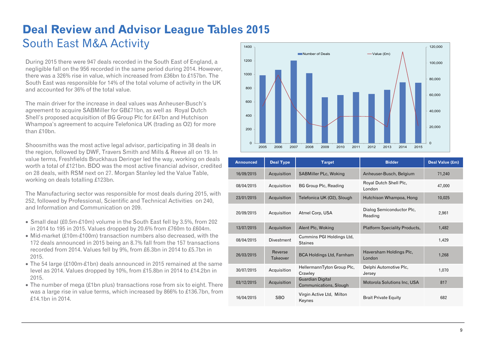### **Deal Review and Advisor League Tables 2015**  South East M&A Activity 1400

During 2015 there were 947 deals recorded in the South East of England, a negligible fall on the 956 recorded in the same period during 2014. However, there was a 326% rise in value, which increased from £36bn to £157bn. The South East was responsible for 14% of the total volume of activity in the UK and accounted for 36% of the total value.

The main driver for the increase in deal values was Anheuser-Busch's agreement to acquire SABMiller for GB£71bn, as well as Royal Dutch Shell's proposed acquisition of BG Group Plc for £47bn and Hutchison Whampoa's agreement to acquire Telefonica UK (trading as O2) for more than £10bn.

Shoosmiths was the most active legal advisor, participating in 38 deals in the region, followed by DWF, Travers Smith and Mills & Reeve all on 19. In value terms, Freshfields Bruckhaus Deringer led the way, working on deals worth a total of £121bn. BDO was the most active financial advisor, credited on 28 deals, with RSM next on 27. Morgan Stanley led the Value Table, working on deals totalling £123bn.

The Manufacturing sector was responsible for most deals during 2015, with 252, followed by Professional, Scientific and Technical Activities on 240, and Information and Communication on 209.

- Small deal (£0.5m-£10m) volume in the South East fell by 3.5%, from 202 in 2014 to 195 in 2015. Values dropped by 20.6% from £760m to £604m.
- Mid-market (£10m-£100m) transaction numbers also decreased, with the 172 deals announced in 2015 being an 8.7% fall from the 157 transactions recorded from 2014. Values fell by 9%, from £6.3bn in 2014 to £5.7bn in 2015.
- The 54 large (£100m-£1bn) deals announced in 2015 remained at the same level as 2014. Values dropped by 10%, from £15.8bn in 2014 to £14.2bn in 2015.
- The number of mega (£1bn plus) transactions rose from six to eight. There was a large rise in value terms, which increased by 866% to £136.7bn, from £14.1bn in 2014.



| <b>Announced</b> | <b>Deal Type</b>    | <b>Target</b>                               | <b>Bidder</b>                        | Deal Value (£m) |
|------------------|---------------------|---------------------------------------------|--------------------------------------|-----------------|
| 16/09/2015       | Acquisition         | SABMiller PLc, Woking                       | Anheuser-Busch, Belgium              | 71,240          |
| 08/04/2015       | Acquisition         | <b>BG Group Plc, Reading</b>                | Royal Dutch Shell Plc,<br>London     | 47,000          |
| 23/01/2015       | Acquisition         | Telefonica UK (O2), Slough                  | Hutchison Whampoa, Hong              | 10,025          |
| 20/09/2015       | Acquisition         | Atmel Corp, USA                             | Dialog Semiconductor Plc,<br>Reading | 2,961           |
| 13/07/2015       | Acquisition         | Alent Plc, Woking                           | <b>Platform Speciality Products,</b> | 1.482           |
| 08/04/2015       | <b>Divestment</b>   | Cummins PGI Holdings Ltd,<br><b>Staines</b> |                                      | 1,429           |
| 26/03/2015       | Reverse<br>Takeover | <b>BCA Holdings Ltd, Farnham</b>            | Haversham Holdings Plc,<br>London    | 1,268           |
| 30/07/2015       | Acquisition         | HellermannTyton Group Plc,<br>Crawley       | Delphi Automotive Plc,<br>Jersey     | 1,070           |
| 03/12/2015       | Acquisition         | Guardian Digital<br>Communications, Slough  | Motorola Solutions Inc, USA          | 817             |
| 16/04/2015       | <b>SBO</b>          | Virgin Active Ltd, Milton<br>Keynes         | <b>Brait Private Equity</b>          | 682             |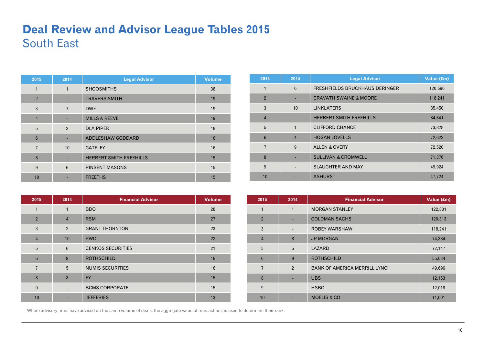## **Deal Review and Advisor League Tables 2015**  South East

| 2015           | 2014           | <b>Legal Advisor</b>           | <b>Volume</b> |
|----------------|----------------|--------------------------------|---------------|
| 1              | 1              | <b>SHOOSMITHS</b>              | 38            |
| $\overline{2}$ |                | <b>TRAVERS SMITH</b>           | 19            |
| 3              | $\overline{7}$ | <b>DWF</b>                     | 19            |
| $\overline{4}$ | ٠              | <b>MILLS &amp; REEVE</b>       | 19            |
| 5              | $\overline{2}$ | <b>DLA PIPER</b>               | 18            |
| 6              |                | ADDLESHAW GODDARD              | 16            |
| $\overline{7}$ | 10             | <b>GATELEY</b>                 | 16            |
| 8              |                | <b>HERBERT SMITH FREEHILLS</b> | 15            |
| 9              | 6              | <b>PINSENT MASONS</b>          | 15            |
| 10             |                | <b>FREETHS</b>                 | 15            |

| 2015            | 2014           | <b>Legal Advisor</b>              | Value (£m) |
|-----------------|----------------|-----------------------------------|------------|
| 1               | 6              | FRESHFIELDS BRUCKHAUS DERINGER    | 120,590    |
| $\overline{2}$  |                | <b>CRAVATH SWAINE &amp; MOORE</b> | 118,241    |
| 3               | 10             | <b>LINKLATERS</b>                 | 85,450     |
| $\overline{4}$  |                | <b>HERBERT SMITH FREEHILLS</b>    | 84,841     |
| 5               | $\mathbf{1}$   | <b>CLIFFORD CHANCE</b>            | 73,828     |
| $6\phantom{1}6$ | $\overline{4}$ | <b>HOGAN LOVELLS</b>              | 72,622     |
| $\overline{7}$  | 9              | <b>ALLEN &amp; OVERY</b>          | 72,520     |
| 8               |                | <b>SULLIVAN &amp; CROMWELL</b>    | 71,376     |
| 9               |                | <b>SLAUGHTER AND MAY</b>          | 49,924     |
| 10              |                | <b>ASHURST</b>                    | 47,724     |

| 2015           | 2014                     | <b>Financial Advisor</b> | <b>Volume</b> |
|----------------|--------------------------|--------------------------|---------------|
| 1              | 1                        | <b>BDO</b>               | 28            |
| $\overline{2}$ | $\overline{4}$           | <b>RSM</b>               | 27            |
| 3              | $\overline{2}$           | <b>GRANT THORNTON</b>    | 23            |
| $\overline{4}$ | 10                       | <b>PWC</b>               | 22            |
| 5              | 6                        | <b>CENKOS SECURITIES</b> | 21            |
| $6\phantom{1}$ | 9                        | <b>ROTHSCHILD</b>        | 18            |
| $\overline{7}$ | 5                        | <b>NUMIS SECURITIES</b>  | 16            |
| 8              | 3                        | EY                       | 15            |
| 9              | $\overline{\phantom{a}}$ | <b>BCMS CORPORATE</b>    | 15            |
| 10             |                          | <b>JEFFERIES</b>         | 13            |

| 2015            | 2014                            | <b>Financial Advisor</b>             | Value (£m) |
|-----------------|---------------------------------|--------------------------------------|------------|
| 1               | 1                               | <b>MORGAN STANLEY</b>                | 122,801    |
| $\overline{2}$  | ٠                               | <b>GOLDMAN SACHS</b>                 | 120,313    |
| 3               | $\centering \label{eq:reduced}$ | <b>ROBEY WARSHAW</b>                 | 118,241    |
| $\overline{4}$  | 8                               | <b>JP MORGAN</b>                     | 74,384     |
| 5               | 5                               | LAZARD                               | 72,147     |
| $6\phantom{1}6$ | 9                               | <b>ROTHSCHILD</b>                    | 55,034     |
| $\overline{7}$  | $\overline{2}$                  | <b>BANK OF AMERICA MERRILL LYNCH</b> | 49,696     |
| 8               | ٠                               | <b>UBS</b>                           | 12,153     |
| 9               | $\centering \label{eq:reduced}$ | <b>HSBC</b>                          | 12,018     |
| 10              |                                 | <b>MOELIS &amp; CO</b>               | 11,001     |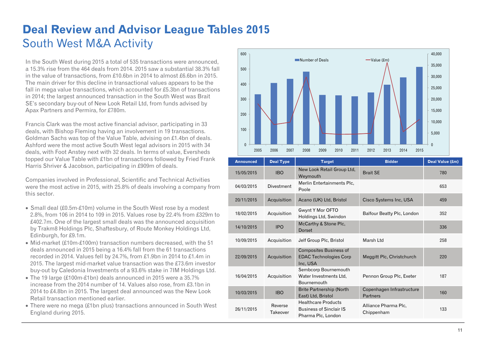## **Deal Review and Advisor League Tables 2015**  South West M&A Activity

In the South West during 2015 a total of 535 transactions were announced, a 15.3% rise from the 464 deals from 2014. 2015 saw a substantial 38.3% fall in the value of transactions, from £10.6bn in 2014 to almost £6.6bn in 2015. The main driver for this decline in transactional values appears to be the fall in mega value transactions, which accounted for £5.3bn of transactions in 2014; the largest announced transaction in the South West was Brait SE's secondary buy-out of New Look Retail Ltd, from funds advised by Apax Partners and Permira, for £780m.

Francis Clark was the most active financial advisor, participating in 33 deals, with Bishop Fleming having an involvement in 19 transactions. Goldman Sachs was top of the Value Table, advising on £1.4bn of deals. Ashford were the most active South West legal advisors in 2015 with 34 deals, with Foot Anstey next with 32 deals. In terms of value, Eversheds topped our Value Table with £1bn of transactions followed by Fried Frank Harris Shriver & Jacobson, participating in £909m of deals.

Companies involved in Professional, Scientific and Technical Activities were the most active in 2015, with 25.8% of deals involving a company from this sector.

- Small deal (£0.5m-£10m) volume in the South West rose by a modest 2.8%, from 106 in 2014 to 109 in 2015. Values rose by 22.4% from £329m to £402.7m. One of the largest small deals was the announced acquisition by Trakm8 Holdings Plc, Shaftesbury, of Route Monkey Holdings Ltd, Edinburgh, for £9.1m.
- $\bullet$  Mid-market (£10m-£100m) transaction numbers decreased, with the 51 deals announced in 2015 being a 16.4% fall from the 61 transactions recorded in 2014. Values fell by 24.7%, from £1.9bn in 2014 to £1.4m in 2015. The largest mid-market value transaction was the £73.6m investor buy-out by Caledonia Investments of a 93.6% stake in 7IM Holdings Ltd.
- The 19 large (£100m-£1bn) deals announced in 2015 were a 35.7% increase from the 2014 number of 14. Values also rose, from £3.1bn in 2014 to £4.8bn in 2015. The largest deal announced was the New Look Retail transaction mentioned earlier.
- There were no mega (£1bn plus) transactions announced in South West England during 2015.



| <b>Announced</b> | <b>Deal Type</b>    | <b>Target</b>                                                                      | <b>Bidder</b>                         | Deal Value (£m) |
|------------------|---------------------|------------------------------------------------------------------------------------|---------------------------------------|-----------------|
| 15/05/2015       | <b>IBO</b>          | New Look Retail Group Ltd,<br>Weymouth                                             | <b>Brait SE</b>                       | 780             |
| 04/03/2015       | <b>Divestment</b>   | Merlin Entertainments Plc.<br>Poole                                                |                                       | 653             |
| 20/11/2015       | Acquisition         | Acano (UK) Ltd, Bristol                                                            | Cisco Systems Inc, USA                | 459             |
| 18/02/2015       | Acquisition         | Gwynt Y Mor OFTO<br>Holdings Ltd, Swindon                                          | Balfour Beatty Plc, London            | 352             |
| 14/10/2015       | <b>IPO</b>          | McCarthy & Stone Plc,<br>Dorset                                                    |                                       | 336             |
| 10/09/2015       | Acquisition         | Jelf Group Plc, Bristol                                                            | Marsh Ltd                             | 258             |
| 22/09/2015       | Acquisition         | <b>Composites Business of</b><br><b>EDAC Technologies Corp</b><br>Inc, USA         | Meggitt Plc, Christchurch             | 220             |
| 16/04/2015       | Acquisition         | Sembcorp Bournemouth<br>Water Investments Ltd.<br>Bournemouth                      | Pennon Group Plc, Exeter              | 187             |
| 10/03/2015       | <b>IBO</b>          | <b>Brite Partnership (North</b><br>East) Ltd, Bristol                              | Copenhagen Infrastructure<br>Partners | 160             |
| 26/11/2015       | Reverse<br>Takeover | <b>Healthcare Products</b><br><b>Business of Sinclair IS</b><br>Pharma Plc, London | Alliance Pharma Plc,<br>Chippenham    | 133             |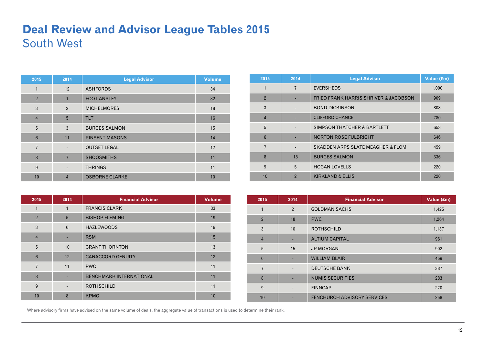### **Deal Review and Advisor League Tables 2015**  South West

| 2015            | 2014                     | <b>Legal Advisor</b>  | <b>Volume</b> |
|-----------------|--------------------------|-----------------------|---------------|
| $\mathbf{1}$    | 12                       | <b>ASHFORDS</b>       | 34            |
| $\overline{2}$  | $\blacksquare$           | <b>FOOT ANSTEY</b>    | 32            |
| 3               | $\overline{2}$           | <b>MICHELMORES</b>    | 18            |
| $\overline{4}$  | 5                        | <b>TLT</b>            | 16            |
| 5               | 3                        | <b>BURGES SALMON</b>  | 15            |
| $6\phantom{1}6$ | 11                       | <b>PINSENT MASONS</b> | 14            |
| $\overline{7}$  | $\overline{\phantom{0}}$ | <b>OUTSET LEGAL</b>   | 12            |
| 8               | $\overline{7}$           | <b>SHOOSMITHS</b>     | 11            |
| 9               |                          | <b>THRINGS</b>        | 11            |
| 10              | $\overline{4}$           | <b>OSBORNE CLARKE</b> | 10            |

| 2015           | 2014           | <b>Legal Advisor</b>                             | Value (£m) |
|----------------|----------------|--------------------------------------------------|------------|
| 1              | 7              | <b>EVERSHEDS</b>                                 | 1,000      |
| $\overline{2}$ |                | <b>FRIED FRANK HARRIS SHRIVER &amp; JACOBSON</b> | 909        |
| 3              |                | <b>BOND DICKINSON</b>                            | 803        |
| $\overline{4}$ |                | <b>CLIFFORD CHANCE</b>                           | 780        |
| 5              |                | <b>SIMPSON THATCHER &amp; BARTLETT</b>           | 653        |
| 6              |                | <b>NORTON ROSE FULBRIGHT</b>                     | 646        |
| $\overline{7}$ |                | <b>SKADDEN ARPS SLATE MEAGHER &amp; FLOM</b>     | 459        |
| 8              | 15             | <b>BURGES SALMON</b>                             | 336        |
| 9              | 5              | <b>HOGAN LOVELLS</b>                             | 220        |
| 10             | $\overline{2}$ | <b>KIRKLAND &amp; ELLIS</b>                      | 220        |

| 2015            | 2014 | <b>Financial Advisor</b>       | <b>Volume</b> |
|-----------------|------|--------------------------------|---------------|
| 1               | 1    | <b>FRANCIS CLARK</b>           | 33            |
| $\overline{2}$  | 5    | <b>BISHOP FLEMING</b>          | 19            |
| 3               | 6    | <b>HAZLEWOODS</b>              | 19            |
| $\overline{4}$  |      | <b>RSM</b>                     | 15            |
| 5               | 10   | <b>GRANT THORNTON</b>          | 13            |
| $6\phantom{1}6$ | 12   | <b>CANACCORD GENUITY</b>       | 12            |
| $\overline{7}$  | 11   | <b>PWC</b>                     | 11            |
| 8               |      | <b>BENCHMARK INTERNATIONAL</b> | 11            |
| 9               |      | <b>ROTHSCHILD</b>              | 11            |
| 10              | 8    | <b>KPMG</b>                    | 10            |

| 2015            | 2014                     | <b>Financial Advisor</b>           | Value (£m) |
|-----------------|--------------------------|------------------------------------|------------|
| $\mathbf{1}$    | $\overline{2}$           | <b>GOLDMAN SACHS</b>               | 1,425      |
| $\overline{2}$  | 18                       | <b>PWC</b>                         | 1,264      |
| 3               | 10 <sup>1</sup>          | <b>ROTHSCHILD</b>                  | 1,137      |
| $\overline{4}$  |                          | <b>ALTIUM CAPITAL</b>              | 961        |
| 5               | 15                       | <b>JP MORGAN</b>                   | 902        |
| $6\phantom{1}6$ | ٠                        | <b>WILLIAM BLAIR</b>               | 459        |
| $\overline{7}$  | $\overline{\phantom{a}}$ | <b>DEUTSCHE BANK</b>               | 387        |
| 8               | ٠                        | <b>NUMIS SECURITIES</b>            | 283        |
| 9               | $\overline{\phantom{0}}$ | <b>FINNCAP</b>                     | 270        |
| 10              | ٠                        | <b>FENCHURCH ADVISORY SERVICES</b> | 258        |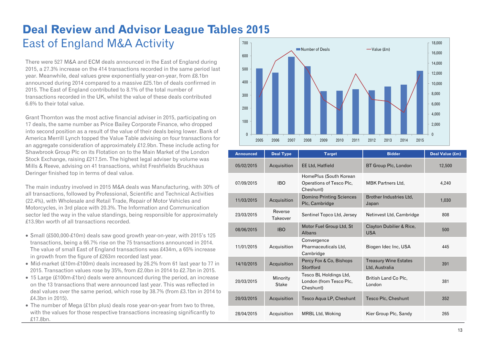#### **Deal Review and Advisor League Tables 2015**  East of England M&A Activity 700

There were 527 M&A and ECM deals announced in the East of England during 2015, a 27.3% increase on the 414 transactions recorded in the same period last year. Meanwhile, deal values grew exponentially year-on-year, from £8.1bn announced during 2014 compared to a massive £25.1bn of deals confirmed in 2015. The East of England contributed to 8.1% of the total number of transactions recorded in the UK, whilst the value of these deals contributed 6.6% to their total value.

Grant Thornton was the most active financial adviser in 2015, participating on 17 deals, the same number as Price Bailey Corporate Finance, who dropped into second position as a result of the value of their deals being lower. Bank of America Merrill Lynch topped the Value Table advising on four transactions for an aggregate consideration of approximately £12.9bn. These include acting for Shawbrook Group Plc on its Flotation on to the Main Market of the London Stock Exchange, raising £217.5m. The highest legal adviser by volume was Mills & Reeve, advising on 41 transactions, whilst Freshfields Bruckhaus Deringer finished top in terms of deal value.

The main industry involved in 2015 M&A deals was Manufacturing, with 30% of all transactions, followed by Professional, Scientific and Technical Activities (22.4%), with Wholesale and Retail Trade, Repair of Motor Vehicles and Motorcycles, in 3rd place with 20.3%. The Information and Communication sector led the way in the value standings, being responsible for approximately £13.9bn worth of all transactions recorded.

- Small (£500,000-£10m) deals saw good growth year-on-year, with 2015's 125 transactions, being a 66.7% rise on the 75 transactions announced in 2014. The value of small East of England transactions was £434m, a 65% increase in growth from the figure of £263m recorded last year.
- Mid-market  $£10m-E100m$ ) deals increased by 26.2% from 61 last year to 77 in 2015. Transaction values rose by 35%, from £2.0bn in 2014 to £2.7bn in 2015.
- 15 Large (£100m-£1bn) deals were announced during the period, an increase on the 13 transactions that were announced last year. This was reflected in deal values over the same period, which rose by 38.7% (from £3.1bn in 2014 to £4.3bn in 2015).
- The number of Mega (£1bn plus) deals rose year-on-year from two to three, with the values for those respective transactions increasing significantly to £17.8bn.



| <b>Announced</b> | <b>Deal Type</b>    | <b>Target</b>                                                   | <b>Bidder</b>                                  | Deal Value (£m) |
|------------------|---------------------|-----------------------------------------------------------------|------------------------------------------------|-----------------|
| 05/02/2015       | Acquisition         | <b>EE Ltd, Hatfield</b>                                         | BT Group Plc, London                           | 12,500          |
| 07/09/2015       | <b>IBO</b>          | HomePlus (South Korean<br>Operations of Tesco Plc.<br>Cheshunt) | <b>MBK Partners Ltd.</b>                       | 4,240           |
| 11/03/2015       | Acquisition         | <b>Domino Printing Sciences</b><br>Plc, Cambridge               | Brother Industries Ltd.<br>Japan               | 1,030           |
| 23/03/2015       | Reverse<br>Takeover | Sentinel Topco Ltd, Jersey                                      | Netinvest Ltd, Cambridge                       | 808             |
| 08/06/2015       | <b>IBO</b>          | Motor Fuel Group Ltd, St<br>Albans                              | Clayton Dubilier & Rice,<br><b>USA</b>         | 500             |
| 11/01/2015       | Acquisition         | Convergence<br>Pharmaceuticals Ltd,<br>Cambridge                | Biogen Idec Inc, USA                           | 445             |
| 14/10/2015       | Acquisition         | Percy Fox & Co, Bishops<br>Stortford                            | <b>Treasury Wine Estates</b><br>Ltd, Australia | 391             |
| 20/03/2015       | Minority<br>Stake   | Tesco BL Holdings Ltd,<br>London (from Tesco Plc,<br>Cheshunt)  | British Land Co Plc,<br>London                 | 381             |
| 20/03/2015       | Acquisition         | Tesco Aqua LP, Cheshunt                                         | Tesco Plc, Cheshunt                            | 352             |
| 28/04/2015       | Acquisition         | MRBL Ltd, Woking                                                | Kier Group Plc, Sandy                          | 265             |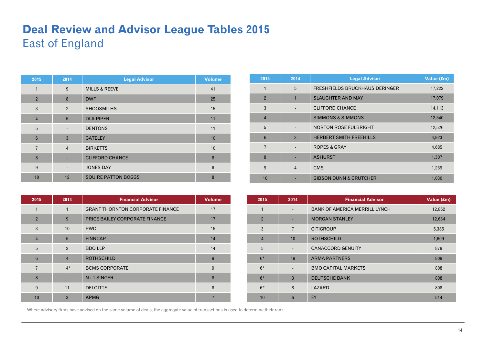### **Deal Review and Advisor League Tables 2015**  East of England

| 2015           | 2014                     | <b>Legal Advisor</b>       | <b>Volume</b> |
|----------------|--------------------------|----------------------------|---------------|
| 1              | 9                        | <b>MILLS &amp; REEVE</b>   | 41            |
| $\overline{2}$ | 8                        | <b>DWF</b>                 | 25            |
| 3              | $\overline{2}$           | <b>SHOOSMITHS</b>          | 15            |
| $\overline{4}$ | 5                        | <b>DLA PIPER</b>           | 11            |
| 5              | $\overline{\phantom{a}}$ | <b>DENTONS</b>             | 11            |
| $6\phantom{1}$ | $\mathbf{3}$             | <b>GATELEY</b>             | 10            |
| $\overline{7}$ | $\overline{4}$           | <b>BIRKETTS</b>            | 10            |
| 8              |                          | <b>CLIFFORD CHANCE</b>     | 8             |
| 9              |                          | <b>JONES DAY</b>           | 8             |
| 10             | 12                       | <b>SQUIRE PATTON BOGGS</b> | 8             |

| 2015           | 2014           | <b>Legal Advisor</b>                  | Value (£m) |
|----------------|----------------|---------------------------------------|------------|
| 1              | 5              | <b>FRESHFIELDS BRUCKHAUS DERINGER</b> | 17,222     |
| $\overline{2}$ | 1              | <b>SLAUGHTER AND MAY</b>              | 17,079     |
| 3              |                | <b>CLIFFORD CHANCE</b>                | 14,113     |
| $\overline{4}$ |                | <b>SIMMONS &amp; SIMMONS</b>          | 12,540     |
| 5              |                | <b>NORTON ROSE FULBRIGHT</b>          | 12,526     |
| 6              | 3              | <b>HERBERT SMITH FREEHILLS</b>        | 4,923      |
| $\overline{7}$ |                | <b>ROPES &amp; GRAY</b>               | 4,685      |
| 8              |                | <b>ASHURST</b>                        | 1,307      |
| 9              | $\overline{4}$ | <b>CMS</b>                            | 1,239      |
| 10             |                | <b>GIBSON DUNN &amp; CRUTCHER</b>     | 1,030      |

| 2015            | 2014           | <b>Financial Advisor</b>                | <b>Volume</b> |
|-----------------|----------------|-----------------------------------------|---------------|
| 1               | 1              | <b>GRANT THORNTON CORPORATE FINANCE</b> | 17            |
| $\overline{2}$  | 9              | PRICE BAILEY CORPORATE FINANCE          | 17            |
| 3               | 10             | <b>PWC</b>                              | 15            |
| $\overline{4}$  | 5              | <b>FINNCAP</b>                          | 14            |
| 5               | 2              | <b>BDO LLP</b>                          | 14            |
| $6\phantom{1}6$ | $\overline{4}$ | <b>ROTHSCHILD</b>                       | 9             |
| $\overline{7}$  | $14*$          | <b>BCMS CORPORATE</b>                   | 9             |
| 8               |                | $N+1$ SINGER                            | 8             |
| 9               | 11             | <b>DELOITTE</b>                         | 8             |
| 10              | $\overline{3}$ | <b>KPMG</b>                             |               |

| 2015           | 2014                     | <b>Financial Advisor</b>             | Value (£m) |
|----------------|--------------------------|--------------------------------------|------------|
| 1              | $\overline{\phantom{a}}$ | <b>BANK OF AMERICA MERRILL LYNCH</b> | 12,852     |
| $\overline{2}$ | ٠                        | <b>MORGAN STANLEY</b>                | 12,634     |
| 3              | $\overline{7}$           | <b>CITIGROUP</b>                     | 5,385      |
| $\overline{4}$ | 10                       | <b>ROTHSCHILD</b>                    | 1,609      |
| 5              | $\overline{\phantom{a}}$ | <b>CANACCORD GENUITY</b>             | 878        |
| $6*$           | 19                       | <b>ARMA PARTNERS</b>                 | 808        |
| $6*$           | $\overline{\phantom{a}}$ | <b>BMO CAPITAL MARKETS</b>           | 808        |
| $6*$           | $\mathbf{3}$             | <b>DEUTSCHE BANK</b>                 | 808        |
| $6*$           | 8                        | LAZARD                               | 808        |
| 10             | 6                        | EY                                   | 514        |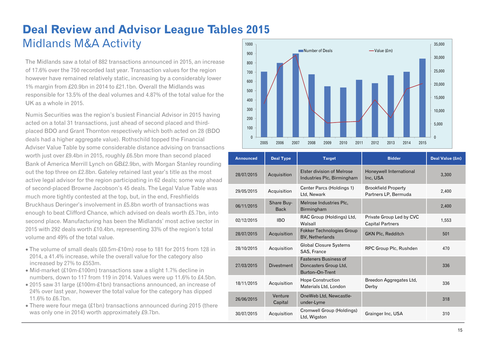### **Deal Review and Advisor League Tables 2015**  Midlands M&A Activity 1000

The Midlands saw a total of 882 transactions announced in 2015, an increase of 17.6% over the 750 recorded last year. Transaction values for the region however have remained relatively static, increasing by a considerably lower 1% margin from £20.9bn in 2014 to £21.1bn. Overall the Midlands was responsible for 13.5% of the deal volumes and 4.87% of the total value for the UK as a whole in 2015.

Numis Securities was the region's busiest Financial Advisor in 2015 having acted on a total 31 transactions, just ahead of second placed and thirdplaced BDO and Grant Thornton respectively which both acted on 28 (BDO deals had a higher aggregate value). Rothschild topped the Financial Adviser Value Table by some considerable distance advising on transactions worth just over £9.4bn in 2015, roughly £6.5bn more than second placed Bank of America Merrill Lynch on GB£2.9bn, with Morgan Stanley rounding out the top three on £2.8bn. Gateley retained last year's title as the most active legal advisor for the region participating in 62 deals; some way ahead of second-placed Browne Jacobson's 45 deals. The Legal Value Table was much more tightly contested at the top, but, in the end, Freshfields Bruckhaus Deringer's involvement in £5.8bn worth of transactions was enough to beat Clifford Chance, which advised on deals worth £5.7bn, into second place. Manufacturing has been the Midlands' most active sector in 2015 with 292 deals worth £10.4bn, representing 33% of the region's total volume and 49% of the total value.

- The volume of small deals (£0.5m-£10m) rose to 181 for 2015 from 128 in 2014, a 41.4% increase, while the overall value for the category also increased by 27% to £553m.
- Mid-market (£10m-£100m) transactions saw a slight 1.7% decline in numbers, down to 117 from 119 in 2014. Values were up 11.6% to £4.5bn.
- 2015 saw 31 large (£100m-£1bn) transactions announced, an increase of 24% over last year, however the total value for the category has dipped 11.6% to £6.7bn.
- There were four mega (£1bn) transactions announced during 2015 (there was only one in 2014) worth approximately £9.7bn.



| <b>Announced</b> | <b>Deal Type</b>          | <b>Target</b>                                                            | <b>Bidder</b>                                       | Deal Value (£m) |
|------------------|---------------------------|--------------------------------------------------------------------------|-----------------------------------------------------|-----------------|
| 28/07/2015       | Acquisition               | Elster division of Melrose<br>Industries Plc, Birmingham                 | Honeywell International<br>Inc, USA                 | 3,300           |
| 29/05/2015       | Acquisition               | Center Parcs (Holdings 1)<br>Ltd, Newark                                 | <b>Brookfield Property</b><br>Partners LP, Bermuda  | 2,400           |
| 06/11/2015       | Share Buy-<br><b>Back</b> | Melrose Industries Plc.<br>Birmingham                                    |                                                     | 2,400           |
| 02/12/2015       | <b>IBO</b>                | RAC Group (Holdings) Ltd,<br>Walsall                                     | Private Group Led by CVC<br><b>Capital Partners</b> | 1,553           |
| 28/07/2015       | Acquisition               | <b>Fokker Technologies Group</b><br>BV, Netherlands                      | <b>GKN Plc, Redditch</b>                            | 501             |
| 28/10/2015       | Acquisition               | <b>Global Closure Systems</b><br>SAS, France                             | RPC Group Plc, Rushden                              | 470             |
| 27/03/2015       | <b>Divestment</b>         | <b>Fasteners Business of</b><br>Doncasters Group Ltd.<br>Burton-On-Trent |                                                     | 336             |
| 18/11/2015       | Acquisition               | <b>Hope Construction</b><br>Materials Ltd, London                        | Breedon Aggregates Ltd,<br>Derby                    | 336             |
| 26/06/2015       | Venture<br>Capital        | OneWeb Ltd, Newcastle-<br>under-Lyme                                     |                                                     | 318             |
| 30/07/2015       | Acquisition               | Cromwell Group (Holdings)<br>Ltd, Wigston                                | Grainger Inc, USA                                   | 310             |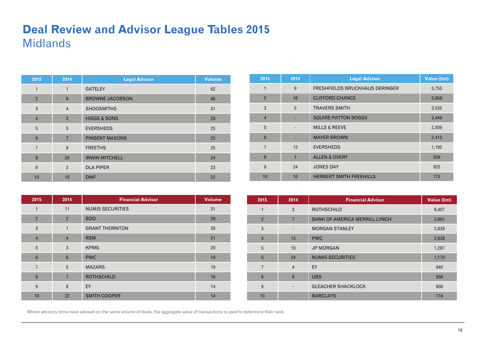### **Deal Review and Advisor League Tables 2015**  Midlands

| 2015            | 2014            | <b>Legal Advisor</b>    | <b>Volume</b> |
|-----------------|-----------------|-------------------------|---------------|
| 1               | $\mathbf{1}$    | <b>GATELEY</b>          | 62            |
| $\overline{2}$  | $6\phantom{1}6$ | <b>BROWNE JACOBSON</b>  | 45            |
| 3               | $\overline{4}$  | <b>SHOOSMITHS</b>       | 31            |
| $\overline{4}$  | $\mathbf{3}$    | <b>HIGGS &amp; SONS</b> | 28            |
| 5               | 5               | <b>EVERSHEDS</b>        | 25            |
| $6\phantom{1}6$ | $\overline{7}$  | <b>PINSENT MASONS</b>   | 25            |
| $\overline{7}$  | 9               | <b>FREETHS</b>          | 25            |
| 8               | 20              | <b>IRWIN MITCHELL</b>   | 24            |
| 9               | $\overline{2}$  | <b>DLA PIPER</b>        | 23            |
| 10              | 15              | <b>DWF</b>              | 22            |

| 2015           | 2014                     | <b>Legal Advisor</b>                  | Value (£m) |
|----------------|--------------------------|---------------------------------------|------------|
| $\mathbf{1}$   | 9                        | <b>FRESHFIELDS BRUCKHAUS DERINGER</b> | 5,755      |
| $\overline{2}$ | 16                       | <b>CLIFFORD CHANCE</b>                | 5,668      |
| 3              | 5                        | <b>TRAVERS SMITH</b>                  | 3,535      |
| $\overline{4}$ |                          | <b>SQUIRE PATTON BOGGS</b>            | 3,449      |
| 5              | $\overline{\phantom{a}}$ | <b>MILLS &amp; REEVE</b>              | 2,509      |
| 6              |                          | <b>MAYER BROWN</b>                    | 2,413      |
| $\overline{7}$ | 12                       | <b>EVERSHEDS</b>                      | 1,182      |
| 8              | 1                        | <b>ALLEN &amp; OVERY</b>              | 939        |
| 9              | 24                       | <b>JONES DAY</b>                      | 925        |
| 10             | 10                       | <b>HERBERT SMITH FREEHILLS</b>        | 775        |

| 2015            | 2014            | <b>Financial Advisor</b> | <b>Volume</b> |
|-----------------|-----------------|--------------------------|---------------|
| 1               | 11              | <b>NUMIS SECURITIES</b>  | 31            |
| $\overline{2}$  | $\overline{2}$  | <b>BDO</b>               | 28            |
| 3               | $\mathbf{1}$    | <b>GRANT THORNTON</b>    | 28            |
| $\overline{4}$  | $\overline{4}$  | <b>RSM</b>               | 21            |
| 5               | 3               | <b>KPMG</b>              | 20            |
| $6\phantom{1}6$ | $6\phantom{1}6$ | <b>PWC</b>               | 19            |
| $\overline{7}$  | 5               | <b>MAZARS</b>            | 19            |
| 8               | $\overline{7}$  | <b>ROTHSCHILD</b>        | 16            |
| 9               | 8               | EY                       | 14            |
| 10              | 22              | <b>SMITH COOPER</b>      | 14            |

| 2015           | 2014                     | <b>Financial Advisor</b>             | Value (£m) |
|----------------|--------------------------|--------------------------------------|------------|
| 1              | 3                        | <b>ROTHSCHILD</b>                    | 9,407      |
| $\overline{2}$ | $\overline{7}$           | <b>BANK OF AMERICA MERRILL LYNCH</b> | 2,901      |
| 3              |                          | <b>MORGAN STANLEY</b>                | 2,839      |
| $\overline{4}$ | 15                       | <b>PWC</b>                           | 2,638      |
| 5              | 10                       | <b>JP MORGAN</b>                     | 1,287      |
| $6\phantom{1}$ | 24                       | <b>NUMIS SECURITIES</b>              | 1,170      |
| $\overline{7}$ | $\overline{4}$           | EY                                   | 940        |
| 8              | 8                        | <b>UBS</b>                           | 856        |
| 9              | $\overline{\phantom{a}}$ | <b>GLEACHER SHACKLOCK</b>            | 808        |
| 10             |                          | <b>BARCLAYS</b>                      | 716        |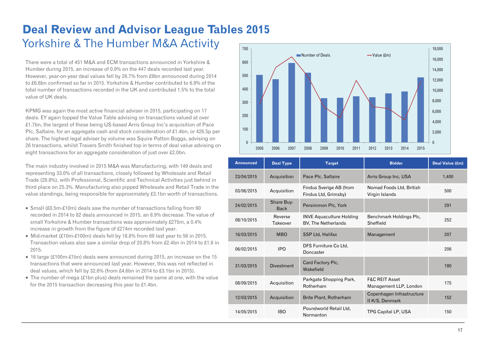### **Deal Review and Advisor League Tables 2015**  Yorkshire & The Humber M&A Activity

There were a total of 451 M&A and ECM transactions announced in Yorkshire & Humber during 2015, an increase of 0.9% on the 447 deals recorded last year. However, year-on-year deal values fell by 26.7% from £9bn announced during 2014 to £6.6bn confirmed so far in 2015. Yorkshire & Humber contributed to 6.9% of the total number of transactions recorded in the UK and contributed 1.5% to the total value of UK deals.

KPMG was again the most active financial adviser in 2015, participating on 17 deals. EY again topped the Value Table advising on transactions valued at over £1.7bn, the largest of these being US-based Arris Group Inc's acquisition of Pace Plc, Saltaire, for an aggregate cash and stock consideration of £1.4bn, or 426.5p per share. The highest legal adviser by volume was Squire Patton Boggs, advising on 26 transactions, whilst Travers Smith finished top in terms of deal value advising on eight transactions for an aggregate consideration of just over £2.0bn.

The main industry involved in 2015 M&A was Manufacturing, with 149 deals and representing 33.0% of all transactions, closely followed by Wholesale and Retail Trade (28.8%), with Professional, Scientific and Technical Activities just behind in third place on 25.3%. Manufacturing also pipped Wholesale and Retail Trade in the value standings, being responsible for approximately £3.1bn worth of transactions.

- Small (£0.5m-£10m) deals saw the number of transactions falling from 90 recorded in 2014 to 82 deals announced in 2015, an 8.9% decrease. The value of small Yorkshire & Humber transactions was approximately £275m, a 0.4% increase in growth from the figure of £274m recorded last year.
- $\bullet$  Mid-market (£10m-£100m) deals fell by 18.8% from 69 last year to 56 in 2015. Transaction values also saw a similar drop of 20.8% from £2.4bn in 2014 to £1.9 in 2015.
- 16 large (£100m-£1bn) deals were announced during 2015, an increase on the 15 transactions that were announced last year. However, this was not reflected in deal values, which fell by 32.6% (from £4.6bn in 2014 to £3.1bn in 2015).
- The number of mega (£1bn plus) deals remained the same at one, with the value for the 2015 transaction decreasing this year to £1.4bn.



| <b>Announced</b> | <b>Deal Type</b>          | <b>Target</b>                                          | <b>Bidder</b>                                       | Deal Value (£m) |
|------------------|---------------------------|--------------------------------------------------------|-----------------------------------------------------|-----------------|
| 23/04/2015       | Acquisition               | Pace Plc, Saltaire                                     | Arris Group Inc, USA                                | 1,400           |
| 03/06/2015       | Acquisition               | Findus Sverige AB (from<br>Findus Ltd, Grimsby)        | Nomad Foods Ltd, British<br>Virgin Islands          | 500             |
| 24/02/2015       | Share Buy-<br><b>Back</b> | Persimmon Plc, York                                    |                                                     | 291             |
| 08/10/2015       | Reverse<br>Takeover       | <b>INVE Aquaculture Holding</b><br>BV, The Netherlands | Benchmark Holdings Plc,<br>Sheffield                | 252             |
| 16/03/2015       | <b>MBO</b>                | SSP Ltd, Halifax                                       | Management                                          | 207             |
| 06/02/2015       | <b>IPO</b>                | DFS Furniture Co Ltd,<br>Doncaster                     |                                                     | 206             |
| 31/03/2015       | <b>Divestment</b>         | Card Factory Plc.<br>Wakefield                         |                                                     | 180             |
| 08/09/2015       | Acquisition               | Parkgate Shopping Park,<br>Rotherham                   | <b>F&amp;C REIT Asset</b><br>Management LLP, London | 175             |
| 12/03/2015       | Acquisition               | Brite Plant, Rotherham                                 | Copenhagen Infrastructure<br>II K/S, Denmark        | 152             |
| 14/05/2015       | <b>IBO</b>                | Poundworld Retail Ltd,<br>Normanton                    | TPG Capital LP, USA                                 | 150             |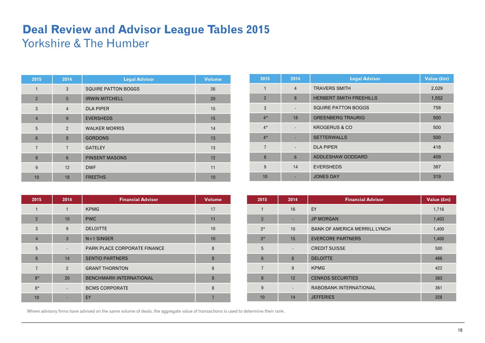## **Deal Review and Advisor League Tables 2015**  Yorkshire & The Humber

| 2015           | 2014            | <b>Legal Advisor</b>       | <b>Volume</b> |
|----------------|-----------------|----------------------------|---------------|
| 1              | 3               | <b>SQUIRE PATTON BOGGS</b> | 26            |
| $\overline{2}$ | 5               | <b>IRWIN MITCHELL</b>      | 20            |
| 3              | $\overline{4}$  | <b>DLA PIPER</b>           | 15            |
| $\overline{4}$ | 9               | <b>EVERSHEDS</b>           | 15            |
| 5              | $\overline{2}$  | <b>WALKER MORRIS</b>       | 14            |
| $6\phantom{1}$ | 8               | <b>GORDONS</b>             | 13            |
| $\overline{7}$ | $\overline{7}$  | <b>GATELEY</b>             | 13            |
| 8              | $6\phantom{1}6$ | <b>PINSENT MASONS</b>      | 12            |
| 9              | 12              | <b>DWF</b>                 | 11            |
| 10             | 18              | <b>FREETHS</b>             | 10            |

| 2015           | 2014                     | <b>Legal Advisor</b>           | Value (£m) |
|----------------|--------------------------|--------------------------------|------------|
| 1              | $\overline{4}$           | <b>TRAVERS SMITH</b>           | 2,029      |
| $\overline{2}$ | 8                        | <b>HERBERT SMITH FREEHILLS</b> | 1,552      |
| 3              |                          | <b>SQUIRE PATTON BOGGS</b>     | 758        |
| $4*$           | 18                       | <b>GREENBERG TRAURIG</b>       | 500        |
| $4*$           |                          | <b>KROGERUS &amp; CO</b>       | 500        |
| $4*$           |                          | <b>SETTERWALLS</b>             | 500        |
| $\overline{7}$ | $\overline{\phantom{0}}$ | <b>DLA PIPER</b>               | 418        |
| 8              | $6\phantom{1}$           | ADDLESHAW GODDARD              | 409        |
| 9              | 14                       | <b>EVERSHEDS</b>               | 387        |
| 10             |                          | <b>JONES DAY</b>               | 319        |

| 2015           | 2014                     | <b>Financial Advisor</b>       | <b>Volume</b> |
|----------------|--------------------------|--------------------------------|---------------|
| 1              | $\mathbf{1}$             | <b>KPMG</b>                    | 17            |
| $\overline{2}$ | 10                       | <b>PWC</b>                     | 11            |
| 3              | 9                        | <b>DELOITTE</b>                | 10            |
| $\overline{4}$ | 3                        | $N+1$ SINGER                   | 10            |
| 5              |                          | PARK PLACE CORPORATE FINANCE   | 8             |
| $6\phantom{1}$ | 14                       | <b>SENTIO PARTNERS</b>         | 8             |
| 7              | $\mathcal{P}$            | <b>GRANT THORNTON</b>          | 8             |
| $8*$           | 20                       | <b>BENCHMARK INTERNATIONAL</b> | 8             |
| $8*$           | $\overline{\phantom{0}}$ | <b>BCMS CORPORATE</b>          | 8             |
| 10             |                          | EY                             |               |

| 2015           | 2014                         | <b>Financial Advisor</b>             | Value (£m) |
|----------------|------------------------------|--------------------------------------|------------|
| $\mathbf{1}$   | 16                           | EY                                   | 1,716      |
| $\overline{2}$ | ٠                            | <b>JP MORGAN</b>                     | 1,403      |
| $3*$           | 10                           | <b>BANK OF AMERICA MERRILL LYNCH</b> | 1,400      |
| $3*$           | 15                           | <b>EVERCORE PARTNERS</b>             | 1,400      |
| 5              | -                            | <b>CREDIT SUISSE</b>                 | 500        |
| $6\phantom{1}$ | 8                            | <b>DELOITTE</b>                      | 466        |
| $\overline{7}$ | 9                            | <b>KPMG</b>                          | 422        |
| 8              | 12                           | <b>CENKOS SECURITIES</b>             | 363        |
| 9              | $\qquad \qquad \blacksquare$ | RABOBANK INTERNATIONAL               | 361        |
| 10             | 14                           | <b>JEFFERIES</b>                     | 328        |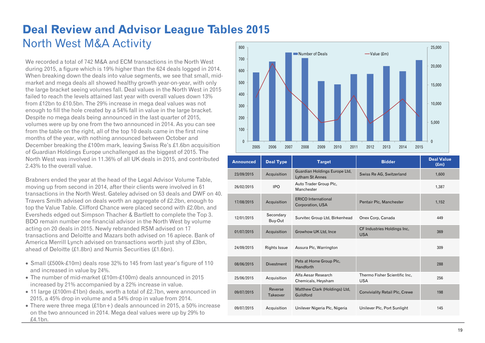### **Deal Review and Advisor League Tables 2015**  North West M&A Activity 800

We recorded a total of 742 M&A and ECM transactions in the North West during 2015, a figure which is 19% higher than the 624 deals logged in 2014. When breaking down the deals into value segments, we see that small, midmarket and mega deals all showed healthy growth year-on-year, with only the large bracket seeing volumes fall. Deal values in the North West in 2015 failed to reach the levels attained last year with overall values down 13% from £12bn to £10.5bn. The 29% increase in mega deal values was not enough to fill the hole created by a 54% fall in value in the large bracket. Despite no mega deals being announced in the last quarter of 2015, volumes were up by one from the two announced in 2014. As you can see from the table on the right, all of the top 10 deals came in the first nine months of the year, with nothing announced between October and December breaking the £100m mark, leaving Swiss Re's £1.6bn acquisition of Guardian Holdings Europe unchallenged as the biggest of 2015. The North West was involved in 11.36% of all UK deals in 2015, and contributed 2.43% to the overall value.

Brabners ended the year at the head of the Legal Advisor Volume Table, moving up from second in 2014, after their clients were involved in 61 transactions in the North West. Gateley advised on 53 deals and DWF on 40. Travers Smith advised on deals worth an aggregate of £2.2bn, enough to top the Value Table. Clifford Chance were placed second with £2.0bn, and Eversheds edged out Simpson Thacher & Bartlett to complete the Top 3. BDO remain number one financial advisor in the North West by volume acting on 20 deals in 2015. Newly rebranded RSM advised on 17 transactions and Deloitte and Mazars both advised on 16 apiece. Bank of America Merrill Lynch advised on transactions worth just shy of £3bn, ahead of Deloitte (£1.8bn) and Numis Securities (£1.6bn).

- Small (£500k-£10m) deals rose 32% to 145 from last year's figure of 110 and increased in value by 24%.
- The number of mid-market (£10m-£100m) deals announced in 2015 increased by 21% accompanied by a 22% increase in value.
- 11 large (£100m-£1bn) deals, worth a total of £2.7bn, were announced in 2015, a 45% drop in volume and a 54% drop in value from 2014.
- There were three mega  $(f_1(b) + f_2)$  deals announced in 2015, a 50% increase on the two announced in 2014. Mega deal values were up by 29% to £4.1bn.



| <b>Announced</b> | <b>Deal Type</b>     | <b>Target</b>                                           | <b>Bidder</b>                               | <b>Deal Value</b><br>$(\text{fm})$ |
|------------------|----------------------|---------------------------------------------------------|---------------------------------------------|------------------------------------|
| 23/09/2015       | Acquisition          | Guardian Holdings Europe Ltd,<br><b>Lytham St Annes</b> | Swiss Re AG, Switzerland                    | 1,600                              |
| 26/02/2015       | <b>IPO</b>           | Auto Trader Group Plc,<br>Manchester                    |                                             | 1,387                              |
| 17/08/2015       | Acquisition          | <b>ERICO</b> International<br>Corporation, USA          | Pentair Plc, Manchester                     | 1,152                              |
| 12/01/2015       | Secondary<br>Buy-Out | Survitec Group Ltd, Birkenhead                          | Onex Corp, Canada                           | 449                                |
| 01/07/2015       | Acquisition          | Growhow UK Ltd, Ince                                    | CF Industries Holdings Inc,<br><b>USA</b>   | 369                                |
| 24/09/2015       | <b>Rights Issue</b>  | Assura Plc, Warrington                                  |                                             | 309                                |
| 08/06/2015       | <b>Divestment</b>    | Pets at Home Group Plc,<br>Handforth                    |                                             | 288                                |
| 25/06/2015       | Acquisition          | Alfa Aesar Research<br>Chemicals, Heysham               | Thermo Fisher Scientific Inc.<br><b>USA</b> | 256                                |
| 09/07/2015       | Reverse<br>Takeover  | Matthew Clark (Holdings) Ltd,<br>Guildford              | <b>Conviviality Retail Plc, Crewe</b>       | 198                                |
| 09/07/2015       | Acquisition          | Unilever Nigeria Plc, Nigeria                           | Unilever Plc, Port Sunlight                 | 145                                |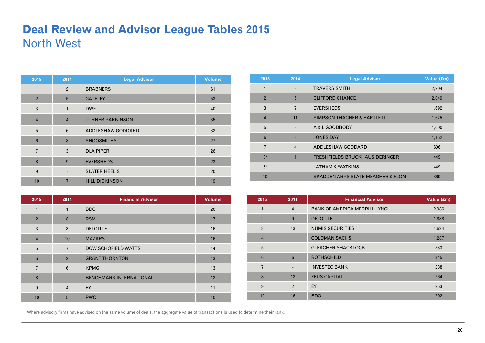### **Deal Review and Advisor League Tables 2015**  North West

| 2015           | 2014                     | <b>Legal Advisor</b>    | <b>Volume</b> |
|----------------|--------------------------|-------------------------|---------------|
| 1              | $\overline{2}$           | <b>BRABNERS</b>         | 61            |
| $\overline{2}$ | 5                        | <b>GATELEY</b>          | 53            |
| 3              | $\mathbf{1}$             | <b>DWF</b>              | 40            |
| $\overline{4}$ | $\overline{4}$           | <b>TURNER PARKINSON</b> | 35            |
| 5              | $6\phantom{1}$           | ADDLESHAW GODDARD       | 32            |
| $6\phantom{1}$ | 8                        | <b>SHOOSMITHS</b>       | 27            |
| $\overline{7}$ | 3                        | <b>DLA PIPER</b>        | 26            |
| 8              | 9                        | <b>EVERSHEDS</b>        | 23            |
| 9              | $\overline{\phantom{0}}$ | <b>SLATER HEELIS</b>    | 20            |
| 10             | 7                        | <b>HILL DICKINSON</b>   | 19            |

| 2015           | 2014           | <b>Financial Advisor</b>       | <b>Volume</b> |
|----------------|----------------|--------------------------------|---------------|
| 1              | 1              | <b>BDO</b>                     | 20            |
| $\overline{2}$ | 8              | <b>RSM</b>                     | 17            |
| 3              | 3              | <b>DELOITTE</b>                | 16            |
| $\overline{4}$ | 10             | <b>MAZARS</b>                  | 16            |
| 5              | $\overline{7}$ | <b>DOW SCHOFIELD WATTS</b>     | 14            |
| 6              | $\overline{2}$ | <b>GRANT THORNTON</b>          | 13            |
| $\overline{7}$ | 6              | <b>KPMG</b>                    | 13            |
| 8              |                | <b>BENCHMARK INTERNATIONAL</b> | 12            |
| 9              | $\overline{4}$ | EY                             | 11            |
| 10             | 5              | <b>PWC</b>                     | 10            |

| 2015            | 2014           | <b>Legal Advisor</b>                         | Value (£m) |
|-----------------|----------------|----------------------------------------------|------------|
| 1               |                | <b>TRAVERS SMITH</b>                         | 2,204      |
| $\overline{2}$  | 5              | <b>CLIFFORD CHANCE</b>                       | 2,049      |
| 3               | $\overline{7}$ | <b>EVERSHEDS</b>                             | 1,692      |
| $\overline{4}$  | 11             | <b>SIMPSON THACHER &amp; BARTLETT</b>        | 1,675      |
| 5               |                | A & L GOODBODY                               | 1,600      |
| $6\phantom{1}6$ |                | <b>JONES DAY</b>                             | 1,152      |
| $\overline{7}$  | $\overline{4}$ | ADDLESHAW GODDARD                            | 606        |
| $8*$            | $\overline{1}$ | <b>FRESHFIELDS BRUCKHAUS DERINGER</b>        | 449        |
| $8*$            |                | <b>LATHAM &amp; WATKINS</b>                  | 449        |
| 10              |                | <b>SKADDEN ARPS SLATE MEAGHER &amp; FLOM</b> | 369        |

| 2015            | 2014                     | <b>Financial Advisor</b>             | Value (£m) |
|-----------------|--------------------------|--------------------------------------|------------|
| $\mathbf{1}$    | $\overline{4}$           | <b>BANK OF AMERICA MERRILL LYNCH</b> | 2,986      |
| $\overline{2}$  | 9                        | <b>DELOITTE</b>                      | 1,838      |
| 3               | 13                       | <b>NUMIS SECURITIES</b>              | 1,624      |
| $\overline{4}$  | 1                        | <b>GOLDMAN SACHS</b>                 | 1,287      |
| 5               | $\overline{\phantom{a}}$ | <b>GLEACHER SHACKLOCK</b>            | 533        |
| $6\phantom{1}6$ | $6\phantom{1}$           | <b>ROTHSCHILD</b>                    | 345        |
| $\overline{7}$  | $\overline{\phantom{a}}$ | <b>INVESTEC BANK</b>                 | 288        |
| 8               | 12                       | <b>ZEUS CAPITAL</b>                  | 264        |
| 9               | $\overline{2}$           | EY                                   | 253        |
| 10              | 16                       | <b>BDO</b>                           | 202        |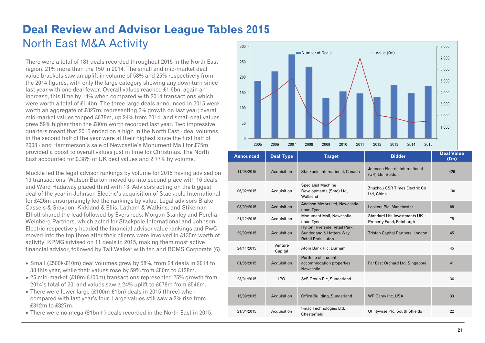### **Deal Review and Advisor League Tables 2015**  North East M&A Activity 300

There were a total of 181 deals recorded throughout 2015 in the North East region, 21% more than the 150 in 2014. The small and mid-market deal value brackets saw an uplift in volume of 58% and 25% respectively from the 2014 figures, with only the large category showing any downturn since last year with one deal fewer. Overall values reached £1.6bn, again an increase, this time by 14% when compared with 2014 transactions which were worth a total of £1.4bn. The three large deals announced in 2015 were worth an aggregate of £827m, representing 2% growth on last year; overall mid-market values topped £678m, up 24% from 2014; and small deal values grew 59% higher than the £80m worth recorded last year. Two impressive quarters meant that 2015 ended on a high in the North East - deal volumes in the second half of the year were at their highest since the first half of 2008 - and Hammerson's sale of Newcastle's Monument Mall for £75m provided a boost to overall values just in time for Christmas. The North East accounted for 0.38% of UK deal values and 2.77% by volume.

Muckle led the legal advisor rankings by volume for 2015 having advised on 19 transactions. Watson Burton moved up into second place with 16 deals and Ward Hadaway placed third with 13. Advisors acting on the biggest deal of the year in Johnson Electric's acquisition of Stackpole International for £426m unsurprisingly led the rankings by value. Legal advisors Blake Cassels & Graydon, Kirkland & Ellis, Latham & Watkins, and Stikeman Elliott shared the lead followed by Eversheds. Morgan Stanley and Perella Weinberg Partners, which acted for Stackpole International and Johnson Electric respectively headed the financial advisor value rankings and PwC moved into the top three after their clients were involved in £135m worth of activity. KPMG advised on 11 deals in 2015, making them most active financial advisor, followed by Tait Walker with ten and BCMS Corporate (6).

- Small (£500k-£10m) deal volumes grew by 58%, from 24 deals in 2014 to 38 this year, while their values rose by 59% from £80m to £128m.
- 25 mid-market (£10m-£100m) transactions represented 25% growth from 2014's total of 20, and values saw a 24% uplift to £678m from £546m.
- There were fewer large (£100m-£1bn) deals in 2015 (three) when compared with last year's four. Large values still saw a 2% rise from £812m to £827m.
- There were no mega (£1bn+) deals recorded in the North East in 2015.



| <b>Announced</b> | <b>Deal Type</b>   | <b>Target</b>                                                                   | <b>Bidder</b>                                            | <b>Deal Value</b><br>f(m) |
|------------------|--------------------|---------------------------------------------------------------------------------|----------------------------------------------------------|---------------------------|
| 11/08/2015       | Acquisition        | Stackpole International, Canada                                                 | Johnson Electric International<br>(UK) Ltd, Boldon       | 426                       |
| 06/02/2015       | Acquisition        | <b>Specialist Machine</b><br>Developments (Smd) Ltd,<br>Wallsend                | Zhuzhou CSR Times Electric Co<br>Ltd, China              | 130                       |
| 03/09/2015       | Acquisition        | Addison Motors Ltd, Newcastle-<br>upon-Tyne                                     | Lookers Plc, Manchester                                  | 88                        |
| 21/12/2015       | Acquisition        | Monument Mall, Newcastle-<br>upon-Tyne                                          | Standard Life Investments UK<br>Property Fund, Edinburgh | 75                        |
| 29/09/2015       | Acquisition        | Hylton Riverside Retail Park,<br>Sunderland & Hatters Way<br>Retail Park, Luton | Tristan Capital Partners, London                         | 45                        |
| 24/11/2015       | Venture<br>Capital | Atom Bank Plc, Durham                                                           |                                                          | 45                        |
| 01/05/2015       | Acquisition        | Portfolio of student<br>accommodation properties,<br><b>Newcastle</b>           | Far East Orchard Ltd, Singapore                          | 41                        |
| 23/01/2015       | <b>IPO</b>         | ScS Group Plc, Sunderland                                                       |                                                          | 36                        |
| 15/09/2015       | Acquisition        | Office Building, Sunderland                                                     | <b>WP Carey Inc, USA</b>                                 | 33                        |
| 21/04/2015       | Acquisition        | t-mac Technologies Ltd,<br>Chesterfield                                         | Utilitywise Plc, South Shields                           | 22                        |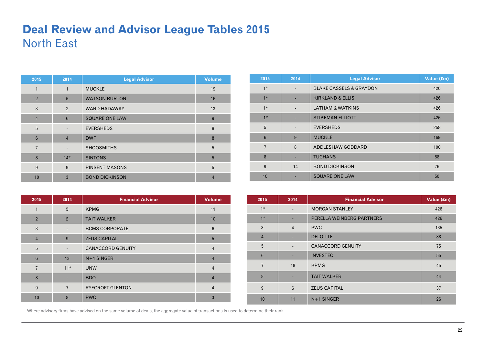### **Deal Review and Advisor League Tables 2015**  North East

| 2015            | 2014                     | <b>Legal Advisor</b>  | <b>Volume</b>  |
|-----------------|--------------------------|-----------------------|----------------|
| $\mathbf{1}$    | $\mathbf{1}$             | <b>MUCKLE</b>         | 19             |
| $\overline{2}$  | 5                        | <b>WATSON BURTON</b>  | 16             |
| 3               | $\overline{2}$           | <b>WARD HADAWAY</b>   | 13             |
| $\overline{4}$  | $6\phantom{1}$           | <b>SQUARE ONE LAW</b> | 9              |
| 5               | $\overline{\phantom{a}}$ | <b>EVERSHEDS</b>      | 8              |
| $6\phantom{1}6$ | $\overline{4}$           | <b>DWF</b>            | 8              |
| $\overline{7}$  | ٠                        | <b>SHOOSMITHS</b>     | 5              |
| 8               | $14*$                    | <b>SINTONS</b>        | 5              |
| 9               | 9                        | <b>PINSENT MASONS</b> | 5              |
| 10              | $\overline{3}$           | <b>BOND DICKINSON</b> | $\overline{4}$ |

| 2015            | 2014                     | <b>Legal Advisor</b>               | Value (£m) |
|-----------------|--------------------------|------------------------------------|------------|
| $1*$            |                          | <b>BLAKE CASSELS &amp; GRAYDON</b> | 426        |
| $1*$            |                          | <b>KIRKLAND &amp; ELLIS</b>        | 426        |
| $1*$            |                          | <b>LATHAM &amp; WATKINS</b>        | 426        |
| $1*$            |                          | <b>STIKEMAN ELLIOTT</b>            | 426        |
| 5               | $\overline{\phantom{0}}$ | <b>EVERSHEDS</b>                   | 258        |
| $6\phantom{1}6$ | 9                        | <b>MUCKLE</b>                      | 169        |
| $\overline{7}$  | 8                        | ADDLESHAW GODDARD                  | 100        |
| 8               |                          | <b>TUGHANS</b>                     | 88         |
| 9               | 14                       | <b>BOND DICKINSON</b>              | 76         |
| 10              |                          | <b>SQUARE ONE LAW</b>              | 50         |

| 2015           | 2014                     | <b>Financial Advisor</b> | <b>Volume</b>  |
|----------------|--------------------------|--------------------------|----------------|
| 1              | 5                        | <b>KPMG</b>              | 11             |
| $\overline{2}$ | $\overline{2}$           | <b>TAIT WALKER</b>       | 10             |
| 3              | $\overline{\phantom{a}}$ | <b>BCMS CORPORATE</b>    | 6              |
| $\overline{4}$ | 9                        | <b>ZEUS CAPITAL</b>      | 5              |
| 5              | $\overline{\phantom{a}}$ | <b>CANACCORD GENUITY</b> | $\overline{4}$ |
| $6\phantom{1}$ | 13                       | $N+1$ SINGER             | $\overline{4}$ |
| $\overline{7}$ | $11*$                    | <b>UNW</b>               | $\overline{4}$ |
| 8              |                          | <b>BDO</b>               | $\overline{4}$ |
| 9              | $\overline{7}$           | <b>RYECROFT GLENTON</b>  | $\overline{4}$ |
| 10             | 8                        | <b>PWC</b>               | 3              |

| 2015           | 2014                     | <b>Financial Advisor</b>  | Value (£m) |
|----------------|--------------------------|---------------------------|------------|
| $1*$           | $\overline{\phantom{a}}$ | <b>MORGAN STANLEY</b>     | 426        |
| $1*$           | ٠                        | PERELLA WEINBERG PARTNERS | 426        |
| 3              | $\overline{4}$           | <b>PWC</b>                | 135        |
| $\overline{4}$ | ٠                        | <b>DELOITTE</b>           | 88         |
| 5              | $\overline{\phantom{a}}$ | <b>CANACCORD GENUITY</b>  | 75         |
| $6\phantom{1}$ | ٠                        | <b>INVESTEC</b>           | 55         |
| $\overline{7}$ | 18                       | <b>KPMG</b>               | 45         |
| 8              | ٠                        | <b>TAIT WALKER</b>        | 44         |
| 9              | $6\phantom{1}6$          | <b>ZEUS CAPITAL</b>       | 37         |
| 10             | 11                       | $N+1$ SINGER              | 26         |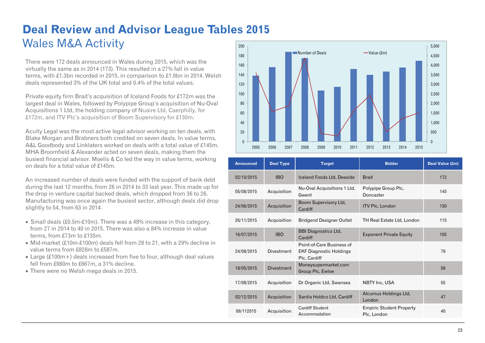### **Deal Review and Advisor League Tables 2015**  Wales M&A Activity 200

There were 172 deals announced in Wales during 2015, which was the virtually the same as in 2014 (173). This resulted in a 27% fall in value terms, with £1.3bn recorded in 2015, in comparison to £1.9bn in 2014. Welsh deals represented 3% of the UK total and 0.4% of the total values.

Private equity firm Brait's acquisition of Iceland Foods for £172m was the largest deal in Wales, followed by Polypipe Group's acquisition of Nu-Oval Acquisitions 1 Ltd, the holding company of Nuaire Ltd, Caerphilly, for £172m, and ITV Plc's acquisition of Boom Supervisory for £130m.

Acuity Legal was the most active legal advisor working on ten deals, with Blake Morgan and Brabners both credited on seven deals. In value terms, A&L Goodbody and Linklaters worked on deals with a total value of £145m. MHA Broomfield & Alexander acted on seven deals, making them the busiest financial advisor. Moelis & Co led the way in value terms, working on deals for a total value of £145m.

An increased number of deals were funded with the support of bank debt during the last 12 months, from 26 in 2014 to 33 last year. This made up for the drop in venture capital backed deals, which dropped from 36 to 26. Manufacturing was once again the busiest sector, although deals did drop slightly to 54, from 63 in 2014.

- Small deals (£0.5m-£10m). There was a 48% increase in this category, from 27 in 2014 to 40 in 2015. There was also a 84% increase in value terms, from £73m to £135m.
- $\bullet$  Mid-market (£10m-£100m) deals fell from 28 to 21, with a 29% decline in value terms from £828m to £587m.
- Large (£100m+) deals increased from five to four, although deal values fell from £980m to £667m, a 31% decline.
- There were no Welsh mega deals in 2015.



| <b>Announced</b> | <b>Deal Type</b>  | <b>Target</b>                                                               | <b>Bidder</b>                                  | Deal Value (£m) |
|------------------|-------------------|-----------------------------------------------------------------------------|------------------------------------------------|-----------------|
| 02/10/2015       | <b>IBO</b>        | Iceland Foods Ltd, Deeside                                                  | <b>Brait</b>                                   | 172             |
| 05/08/2015       | Acquisition       | Nu-Oval Acquisitions 1 Ltd,<br>Gwent                                        | Polypipe Group Plc,<br>Doncaster               | 145             |
| 24/06/2015       | Acquisition       | Boom Supervisory Ltd,<br>Cardiff                                            | <b>ITV Plc, London</b>                         | 130             |
| 26/11/2015       | Acquisition       | <b>Bridgend Designer Outlet</b>                                             | TH Real Estate Ltd, London                     | 115             |
| 16/07/2015       | <b>IBO</b>        | <b>BBI Diagnostics Ltd,</b><br>Cardiff                                      | <b>Exponent Private Equity</b>                 | 105             |
| 24/08/2015       | Divestment        | Point-of-Care Business of<br><b>EKF Diagnostic Holdings</b><br>Plc, Cardiff |                                                | 79              |
| 18/05/2015       | <b>Divestment</b> | Moneysupermarket.com<br>Group Plc, Ewloe                                    |                                                | 56              |
| 17/08/2015       | Acquisition       | Dr Organic Ltd, Swansea                                                     | NBTY Inc, USA                                  | 55              |
| 02/12/2015       | Acquisition       | Santia Holdco Ltd, Cardiff                                                  | Alcumus Holdings Ltd,<br>London                | 47              |
| 09/112015        | Acquisition       | <b>Cardiff Student</b><br>Accommodation                                     | <b>Empiric Student Property</b><br>Plc, London | 40              |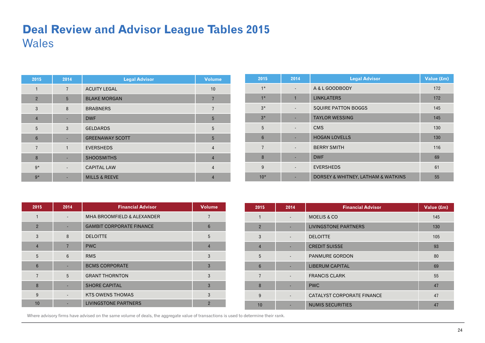## **Deal Review and Advisor League Tables 2015**  Wales

| 2015           | 2014           | <b>Legal Advisor</b>     | <b>Volume</b>  |
|----------------|----------------|--------------------------|----------------|
| 1              | $\overline{7}$ | <b>ACUITY LEGAL</b>      | 10             |
| $\overline{2}$ | 5              | <b>BLAKE MORGAN</b>      |                |
| 3              | 8              | <b>BRABNERS</b>          | 7              |
| $\overline{4}$ |                | <b>DWF</b>               | 5              |
| 5              | 3              | <b>GELDARDS</b>          | 5              |
| 6              |                | <b>GREENAWAY SCOTT</b>   | 5              |
| $\overline{7}$ | $\mathbf{1}$   | <b>EVERSHEDS</b>         | $\overline{4}$ |
| 8              |                | <b>SHOOSMITHS</b>        | $\overline{4}$ |
| $9*$           |                | <b>CAPITAL LAW</b>       | $\overline{4}$ |
| $9*$           |                | <b>MILLS &amp; REEVE</b> | $\overline{4}$ |

| 2015            | 2014                     | <b>Legal Advisor</b>               | Value (£m) |
|-----------------|--------------------------|------------------------------------|------------|
| $1*$            |                          | A & L GOODBODY                     | 172        |
| $1*$            | $\mathbf{1}$             | <b>LINKLATERS</b>                  | 172        |
| $3*$            | $\overline{\phantom{0}}$ | <b>SQUIRE PATTON BOGGS</b>         | 145        |
| $3*$            |                          | <b>TAYLOR WESSING</b>              | 145        |
| 5               | $\overline{\phantom{0}}$ | <b>CMS</b>                         | 130        |
| $6\phantom{1}6$ |                          | <b>HOGAN LOVELLS</b>               | 130        |
| $\overline{7}$  | $\overline{\phantom{a}}$ | <b>BERRY SMITH</b>                 | 116        |
| 8               |                          | <b>DWF</b>                         | 69         |
| 9               |                          | <b>EVERSHEDS</b>                   | 61         |
| $10*$           |                          | DORSEY & WHITNEY, LATHAM & WATKINS | 55         |

| 2015            | 2014            | <b>Financial Advisor</b>              | <b>Volume</b>  |
|-----------------|-----------------|---------------------------------------|----------------|
|                 |                 | <b>MHA BROOMFIELD &amp; ALEXANDER</b> | 7              |
| $\overline{2}$  |                 | <b>GAMBIT CORPORATE FINANCE</b>       | 6              |
| 3               | 8               | <b>DELOITTE</b>                       | 5              |
| $\overline{4}$  | $\overline{7}$  | <b>PWC</b>                            | $\overline{4}$ |
| 5               | $6\phantom{1}6$ | <b>RMS</b>                            | 3              |
| $6\phantom{1}6$ |                 | <b>BCMS CORPORATE</b>                 | 3              |
| $\overline{7}$  | 5               | <b>GRANT THORNTON</b>                 | 3              |
| 8               |                 | <b>SHORE CAPITAL</b>                  | 3              |
| 9               |                 | <b>KTS OWENS THOMAS</b>               | 3              |
| 10              |                 | <b>LIVINGSTONE PARTNERS</b>           | $\overline{2}$ |

| 2015           | 2014                         | <b>Financial Advisor</b>          | Value (£m) |
|----------------|------------------------------|-----------------------------------|------------|
| 1              | $\overline{\phantom{a}}$     | <b>MOELIS &amp; CO</b>            | 145        |
| $\overline{2}$ |                              | <b>LIVINGSTONE PARTNERS</b>       | 130        |
| 3              |                              | <b>DELOITTE</b>                   | 105        |
| $\overline{4}$ |                              | <b>CREDIT SUISSE</b>              | 93         |
| 5              |                              | <b>PANMURE GORDON</b>             | 80         |
| 6              | ٠                            | <b>LIBERUM CAPITAL</b>            | 69         |
| $\overline{7}$ |                              | <b>FRANCIS CLARK</b>              | 55         |
| 8              |                              | <b>PWC</b>                        | 47         |
| 9              | $\qquad \qquad \blacksquare$ | <b>CATALYST CORPORATE FINANCE</b> | 47         |
| 10             |                              | <b>NUMIS SECURITIES</b>           | 47         |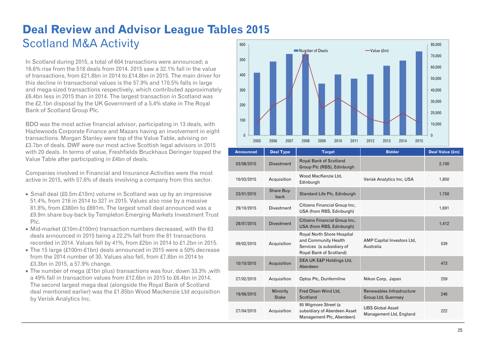### **Deal Review and Advisor League Tables 2015**  Scotland M&A Activity 600

In Scotland during 2015, a total of 604 transactions were announced; a 16.6% rise from the 518 deals from 2014. 2015 saw a 32.1% fall in the value of transactions, from £21.8bn in 2014 to £14.8bn in 2015. The main driver for this decline in transactional values is the 57.9% and 170.5% falls in large and mega-sized transactions respectively, which contributed approximately £6.4bn less in 2015 than in 2014. The largest transaction in Scotland was the £2.1bn disposal by the UK Government of a 5.4% stake in The Royal Bank of Scotland Group Plc.

BDO was the most active financial advisor, participating in 13 deals, with Hazlewoods Corporate Finance and Mazars having an involvement in eight transactions. Morgan Stanley were top of the Value Table, advising on £3.7bn of deals. DWF were our most active Scottish legal advisors in 2015 with 20 deals. In terms of value, Freshfields Bruckhaus Deringer topped the Value Table after participating in £4bn of deals.

Companies involved in Financial and Insurance Activities were the most active in 2015, with 57.6% of deals involving a company from this sector.

- Small deal (£0.5m-£10m) volume in Scotland was up by an impressive 51.4%, from 216 in 2014 to 327 in 2015. Values also rose by a massive 81.8%, from £380m to £691m. The largest small deal announced was a £9.9m share buy-back by Templeton Emerging Markets Investment Trust Plc.
- Mid-market (£10m-£100m) transaction numbers decreased, with the 63 deals announced in 2015 being a 22.2% fall from the 81 transactions recorded in 2014. Values fell by 41%, from £2bn in 2014 to £1.2bn in 2015.
- The 15 large (£100m-£1bn) deals announced in 2015 were a 50% decrease from the 2014 number of 30. Values also fell, from £7.8bn in 2014 to £3.3bn in 2015, a 57.9% change.
- The number of mega (£1bn plus) transactions was four, down 33.3%, with a 49% fall in transaction values from £12.6bn in 2015 to £6.4bn in 2014. The second largest mega deal (alongside the Royal Bank of Scotland deal mentioned earlier) was the £1.85bn Wood Mackenzie Ltd acquisition by Verisk Analytics Inc.



| <b>Announced</b> | <b>Deal Type</b>         | <b>Target</b>                                                                                              | <b>Bidder</b>                                           | Deal Value (£m) |
|------------------|--------------------------|------------------------------------------------------------------------------------------------------------|---------------------------------------------------------|-----------------|
| 03/08/2015       | <b>Divestment</b>        | Royal Bank of Scotland<br>Group Plc (RBS), Edinburgh                                                       |                                                         | 2,100           |
| 10/03/2015       | Acquisition              | Wood MacKenzie Ltd.<br>Edinburgh                                                                           | Verisk Analytics Inc, USA                               | 1,850           |
| 23/01/2015       | Share Buy-<br>back       | Standard Life Plc, Edinburgh                                                                               |                                                         | 1,750           |
| 29/10/2015       | <b>Divestment</b>        | Citizens Financial Group Inc.<br>USA (from RBS, Edinburgh)                                                 |                                                         | 1,691           |
| 28/07/2015       | <b>Divestment</b>        | Citizens Financial Group Inc.<br>USA (from RBS, Edinburgh)                                                 |                                                         | 1,412           |
| 09/02/2015       | Acquisition              | Royal North Shore Hospital<br>and Community Health<br>Services (a subsidiary of<br>Royal Bank of Scotland) | AMP Capital Investors Ltd,<br>Australia                 | 539             |
| 10/10/2015       | Acquisition              | DEA UK E&P Holdings Ltd,<br>Aberdeen                                                                       |                                                         | 473             |
| 27/02/2015       | Acquisition              | Optos Plc, Dunfermline                                                                                     | Nikon Corp, Japan                                       | 259             |
| 19/06/2015       | Minority<br><b>Stake</b> | Fred Olsen Wind Ltd,<br>Scotland                                                                           | Renewables Infrastructure<br><b>Group Ltd, Guernsey</b> | 246             |
| 27/04/2015       | Acquisition              | 95 Wigmore Street (a<br>subsidiary of Aberdeen Asset<br>Management Plc, Aberdeen)                          | <b>UBS Global Asset</b><br>Management Ltd, England      | 222             |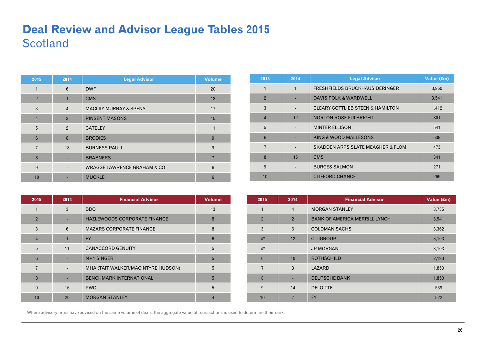### **Deal Review and Advisor League Tables 2015 Scotland**

| 2015           | 2014           | <b>Legal Advisor</b>                    | <b>Volume</b> |
|----------------|----------------|-----------------------------------------|---------------|
| 1              | 6              | <b>DWF</b>                              | 20            |
| $\overline{2}$ | $\mathbf{1}$   | <b>CMS</b>                              | 18            |
| 3              | $\overline{4}$ | <b>MACLAY MURRAY &amp; SPENS</b>        | 17            |
| $\overline{4}$ | 3              | <b>PINSENT MASONS</b>                   | 15            |
| 5              | $\overline{2}$ | <b>GATELEY</b>                          | 11            |
| $6\phantom{1}$ | 8              | <b>BRODIES</b>                          | 9             |
| $\overline{7}$ | 18             | <b>BURNESS PAULL</b>                    | 9             |
| 8              |                | <b>BRABNERS</b>                         | 7             |
| 9              |                | <b>WRAGGE LAWRENCE GRAHAM &amp; CO.</b> | 6             |
| 10             |                | <b>MUCKLE</b>                           | 6             |

| 2015           | 2014         | <b>Legal Advisor</b>                        | Value (£m) |
|----------------|--------------|---------------------------------------------|------------|
| 1              | $\mathbf{1}$ | FRESHFIELDS BRUCKHAUS DERINGER              | 3,950      |
| $\overline{2}$ |              | <b>DAVIS POLK &amp; WARDWELL</b>            | 3,541      |
| 3              |              | <b>CLEARY GOTTLIEB STEEN &amp; HAMILTON</b> | 1,412      |
| $\overline{4}$ | 12           | <b>NORTON ROSE FULBRIGHT</b>                | 801        |
| 5              |              | <b>MINTER ELLISON</b>                       | 541        |
| 6              |              | KING & WOOD MALLESONS                       | 539        |
| $\overline{7}$ |              | SKADDEN ARPS SLATE MEAGHER & FLOM           | 473        |
| 8              | 15           | <b>CMS</b>                                  | 341        |
| 9              |              | <b>BURGES SALMON</b>                        | 271        |
| 10             |              | <b>CLIFFORD CHANCE</b>                      | 269        |

| 2015           | 2014 | <b>Financial Advisor</b>           | <b>Volume</b>  |
|----------------|------|------------------------------------|----------------|
|                | 3    | <b>BDO</b>                         | 13             |
| $\overline{2}$ |      | HAZLEWOODS CORPORATE FINANCE       | 8              |
| 3              | 6    | <b>MAZARS CORPORATE FINANCE</b>    | 8              |
| $\overline{4}$ | 1    | EY                                 | 6              |
| 5              | 11   | <b>CANACCORD GENUITY</b>           | 5              |
| 6              |      | $N+1$ SINGER                       | 5              |
| 7              |      | MHA (TAIT WALKER/MACINTYRE HUDSON) | 5              |
| 8              |      | <b>BENCHMARK INTERNATIONAL</b>     | 5              |
| 9              | 16   | <b>PWC</b>                         | 5              |
| 10             | 20   | <b>MORGAN STANLEY</b>              | $\overline{4}$ |

| 2015           | 2014           | <b>Financial Advisor</b>             | Value (£m) |
|----------------|----------------|--------------------------------------|------------|
| 1              | $\overline{4}$ | <b>MORGAN STANLEY</b>                | 3,735      |
| $\overline{2}$ | $\overline{2}$ | <b>BANK OF AMERICA MERRILL LYNCH</b> | 3,541      |
| 3              | $6\phantom{1}$ | <b>GOLDMAN SACHS</b>                 | 3,362      |
| $4*$           | 12             | <b>CITIGROUP</b>                     | 3,103      |
| $4*$           | -              | <b>JP MORGAN</b>                     | 3,103      |
| $6\phantom{1}$ | 10             | <b>ROTHSCHILD</b>                    | 2,193      |
| $\overline{7}$ | 3              | LAZARD                               | 1,850      |
| 8              | ٠              | <b>DEUTSCHE BANK</b>                 | 1,850      |
| 9              | 14             | <b>DELOITTE</b>                      | 539        |
| 10             | 7              | EY                                   | 522        |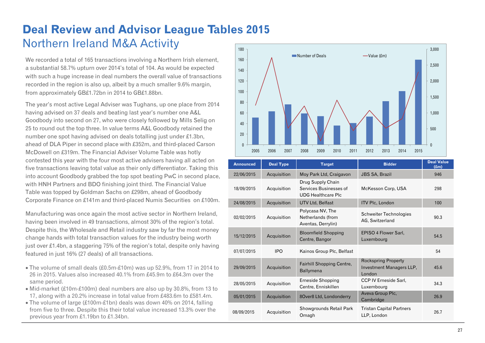## **Deal Review and Advisor League Tables 2015**  Northern Ireland M&A Activity

We recorded a total of 165 transactions involving a Northern Irish element, a substantial 58.7% upturn over 2014's total of 104. As would be expected with such a huge increase in deal numbers the overall value of transactions recorded in the region is also up, albeit by a much smaller 9.6% margin, from approximately GB£1.72bn in 2014 to GB£1.88bn.

The year's most active Legal Adviser was Tughans, up one place from 2014 having advised on 37 deals and beating last year's number one A&L Goodbody into second on 27, who were closely followed by Mills Selig on 25 to round out the top three. In value terms A&L Goodbody retained the number one spot having advised on deals totalling just under £1.3bn, ahead of DLA Piper in second place with £352m, and third-placed Carson McDowell on £319m. The Financial Adviser Volume Table was hotly contested this year with the four most active advisers having all acted on five transactions leaving total value as their only differentiator. Taking this into account Goodbody grabbed the top spot beating PwC in second place, with HNH Partners and BDO finishing joint third. The Financial Value Table was topped by Goldman Sachs on £298m, ahead of Goodbody Corporate Finance on £141m and third-placed Numis Securities on £100m.

Manufacturing was once again the most active sector in Northern Ireland, having been involved in 49 transactions, almost 30% of the region's total. Despite this, the Wholesale and Retail industry saw by far the most money change hands with total transaction values for the industry being worth just over £1.4bn, a staggering 75% of the region's total, despite only having featured in just 16% (27 deals) of all transactions.

- The volume of small deals (£0.5m-£10m) was up 52.9%, from 17 in 2014 to 26 in 2015. Values also increased 40.1% from £45.9m to £64.3m over the same period.
- Mid-market (£10m-£100m) deal numbers are also up by 30.8%, from 13 to 17, along with a 20.2% increase in total value from £483.6m to £581.4m.
- The volume of large (£100m-£1bn) deals was down 40% on 2014, falling from five to three. Despite this their total value increased 13.3% over the previous year from £1.19bn to £1.34bn.



| <b>Announced</b> | <b>Deal Type</b> | <b>Target</b>                                                            | <b>Bidder</b>                                                           | <b>Deal Value</b><br>(f.m) |
|------------------|------------------|--------------------------------------------------------------------------|-------------------------------------------------------------------------|----------------------------|
| 22/06/2015       | Acquisition      | Moy Park Ltd, Craigavon                                                  | <b>JBS SA, Brazil</b>                                                   | 946                        |
| 18/09/2015       | Acquisition      | Drug Supply Chain<br>Services Businesses of<br><b>UDG Healthcare Plc</b> | McKesson Corp, USA                                                      | 298                        |
| 24/08/2015       | Acquisition      | UTV Ltd, Belfast                                                         | <b>ITV PIc, London</b>                                                  | 100                        |
| 02/02/2015       | Acquisition      | Polycasa NV, The<br>Netherlands (from<br>Aventas, Derrylin)              | Schweiter Technologies<br>AG, Switzerland                               | 90.3                       |
| 15/12/2015       | Acquisition      | <b>Bloomfield Shopping</b><br>Centre, Bangor                             | <b>EPISO 4 Flower Sarl.</b><br>Luxembourg                               | 54.5                       |
| 07/07/2015       | <b>IPO</b>       | Kainos Group Plc, Belfast                                                |                                                                         | 54                         |
| 29/09/2015       | Acquisition      | <b>Fairhill Shopping Centre,</b><br>Ballymena                            | <b>Rockspring Property</b><br>Investment Managers LLP,<br><b>London</b> | 45.6                       |
| 28/05/2015       | Acquisition      | <b>Erneside Shopping</b><br>Centre, Enniskillen                          | <b>CCP IV Erneside Sarl.</b><br>Luxembourg                              | 34.3                       |
| 05/01/2015       | Acquisition      | 8Over8 Ltd, Londonderry                                                  | Aveva Group Plc,<br>Cambridge                                           | 26.9                       |
| 08/09/2015       | Acquisition      | Showgrounds Retail Park<br>Omagh                                         | <b>Tristan Capital Partners</b><br>LLP, London                          | 26.7                       |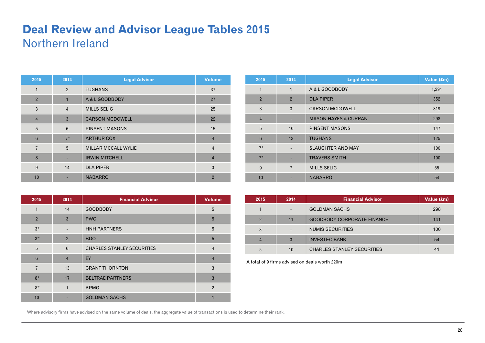### **Deal Review and Advisor League Tables 2015**  Northern Ireland

| 2015           | 2014           | <b>Legal Advisor</b>       | <b>Volume</b>  |
|----------------|----------------|----------------------------|----------------|
| 1              | 2              | <b>TUGHANS</b>             | 37             |
| $\overline{2}$ | $\overline{1}$ | A & L GOODBODY             | 27             |
| 3              | $\overline{4}$ | <b>MILLS SELIG</b>         | 25             |
| $\overline{4}$ | 3              | <b>CARSON MCDOWELL</b>     | 22             |
| 5              | 6              | <b>PINSENT MASONS</b>      | 15             |
| $6\phantom{1}$ | $7*$           | <b>ARTHUR COX</b>          | $\overline{4}$ |
| $\overline{7}$ | 5              | <b>MILLAR MCCALL WYLIE</b> | $\overline{4}$ |
| 8              |                | <b>IRWIN MITCHELL</b>      | $\overline{4}$ |
| 9              | 14             | <b>DLA PIPER</b>           | 3              |
| 10             |                | <b>NABARRO</b>             | $\overline{2}$ |

| 2015           | 2014                     | <b>Legal Advisor</b>            | Value (£m) |
|----------------|--------------------------|---------------------------------|------------|
| 1              | 1                        | A & L GOODBODY                  | 1,291      |
| $\overline{2}$ | $\overline{2}$           | <b>DLA PIPER</b>                | 352        |
| 3              | 3                        | <b>CARSON MCDOWELL</b>          | 319        |
| $\overline{4}$ | ٠                        | <b>MASON HAYES &amp; CURRAN</b> | 298        |
| 5              | 10                       | <b>PINSENT MASONS</b>           | 147        |
| $6\phantom{1}$ | 13                       | <b>TUGHANS</b>                  | 125        |
| $7*$           | $\overline{\phantom{a}}$ | <b>SLAUGHTER AND MAY</b>        | 100        |
| $7*$           | ٠                        | <b>TRAVERS SMITH</b>            | 100        |
| 9              | $\overline{7}$           | <b>MILLS SELIG</b>              | 55         |
| 10             |                          | <b>NABARRO</b>                  | 54         |

| 2015           | 2014           | <b>Financial Advisor</b>          | <b>Volume</b>  |
|----------------|----------------|-----------------------------------|----------------|
| $\mathbf{1}$   | 14             | <b>GOODBODY</b>                   | 5              |
| $\overline{2}$ | 3              | <b>PWC</b>                        | 5              |
| $3*$           |                | <b>HNH PARTNERS</b>               | 5              |
| $3*$           | $\overline{2}$ | <b>BDO</b>                        | 5              |
| 5              | 6              | <b>CHARLES STANLEY SECURITIES</b> | $\overline{4}$ |
| $6\phantom{1}$ | $\overline{4}$ | EY                                | $\overline{4}$ |
| $\overline{7}$ | 13             | <b>GRANT THORNTON</b>             | 3              |
| $8*$           | 17             | <b>BELTRAE PARTNERS</b>           | 3              |
| $8*$           | 1              | <b>KPMG</b>                       | $\overline{2}$ |
| 10             |                | <b>GOLDMAN SACHS</b>              |                |

| 2015 | 2014 | <b>Financial Advisor</b>          | Value (£m)     |
|------|------|-----------------------------------|----------------|
|      |      | <b>GOLDMAN SACHS</b>              | 298            |
| 2    | 11   | <b>GOODBODY CORPORATE FINANCE</b> | 141            |
| 3    |      | NUMIS SECURITIES                  | 100            |
|      | 3    | <b>INVESTEC BANK</b>              | 54             |
| 5    | 10   | <b>CHARLES STANLEY SECURITIES</b> | 4 <sup>1</sup> |

A total of 9 firms advised on deals worth £20m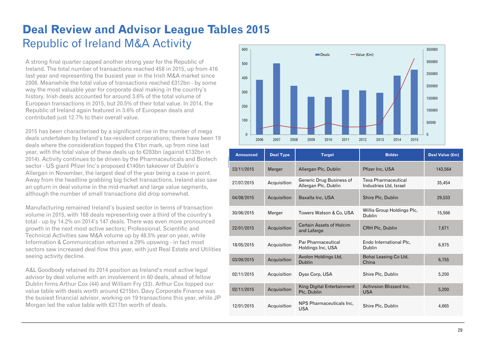### **Deal Review and Advisor League Tables 2015**  Republic of Ireland M&A Activity

A strong final quarter capped another strong year for the Republic of Ireland. The total number of transactions reached 458 in 2015, up from 416 last year and representing the busiest year in the Irish M&A market since 2008. Meanwhile the total value of transactions reached €312bn - by some way the most valuable year for corporate deal making in the country's history. Irish deals accounted for around 3.6% of the total volume of European transactions in 2015, but 20.5% of their total value. In 2014, the Republic of Ireland again featured in 3.6% of European deals and contributed just 12.7% to their overall value.

2015 has been characterised by a significant rise in the number of mega deals undertaken by Ireland's tax-resident corporations; there have been 19 deals where the consideration topped the €1bn mark, up from nine last year, with the total value of these deals up to €283bn (against €132bn in 2014). Activity continues to be driven by the Pharmaceuticals and Biotech sector - US giant Pfizer Inc's proposed €140bn takeover of Dublin's Allergan in November, the largest deal of the year being a case in point. Away from the headline grabbing big ticket transactions, Ireland also saw an upturn in deal volume in the mid-market and large value segments, although the number of small transactions did drop somewhat.

Manufacturing remained Ireland's busiest sector in terms of transaction volume in 2015, with 168 deals representing over a third of the country's total - up by 14.2% on 2014's 147 deals. There was even more pronounced growth in the next most active sectors; Professional, Scientific and Technical Activities saw M&A volume up by 48.5% year on year, while Information & Communication returned a 29% upswing - in fact most sectors saw increased deal flow this year, with just Real Estate and Utilities seeing activity decline.

A&L Goodbody retained its 2014 position as Ireland's most active legal advisor by deal volume with an involvement in 60 deals, ahead of fellow Dublin firms Arthur Cox (44) and William Fry (33). Arthur Cox topped our value table with deals worth around €215bn. Davy Corporate Finance was the busiest financial advisor, working on 19 transactions this year, while JP Morgan led the value table with €217bn worth of deals.



| <b>Announced</b> | <b>Deal Type</b> | <b>Target</b>                                    | <b>Bidder</b>                                 | Deal Value (€m) |
|------------------|------------------|--------------------------------------------------|-----------------------------------------------|-----------------|
| 23/11/2015       | Merger           | Allergan Plc, Dublin                             | Pfizer Inc, USA                               | 143.564         |
| 27/07/2015       | Acquisition      | Generic Drug Business of<br>Allergan Plc, Dublin | Teva Pharmaceutical<br>Industries Ltd, Israel | 35.454          |
| 04/08/2015       | Acquisition      | Baxalta Inc, USA                                 | Shire Plc, Dublin                             | 29,533          |
| 30/06/2015       | Merger           | Towers Watson & Co, USA                          | Willis Group Holdings Plc.<br>Dublin          | 15,566          |
| 22/01/2015       | Acquisition      | <b>Certain Assets of Holcim</b><br>and Lafarge   | CRH Plc, Dublin                               | 7,671           |
| 18/05/2015       | Acquisition      | Par Pharmaceutical<br>Holdings Inc, USA          | Endo International Plc.<br>Dublin             | 6,975           |
| 03/09/2015       | Acquisition      | Avolon Holdings Ltd,<br><b>Dublin</b>            | Bohai Leasing Co Ltd,<br>China                | 6.755           |
| 02/11/2015       | Acquisition      | Dyax Corp, USA                                   | Shire Plc, Dublin                             | 5,200           |
| 02/11/2015       | Acquisition      | King Digital Entertainment<br>Plc, Dublin        | Activision Blizzard Inc.<br><b>USA</b>        | 5,200           |
| 12/01/2015       | Acquisition      | NPS Pharmaceuticals Inc.<br><b>USA</b>           | Shire Plc, Dublin                             | 4,665           |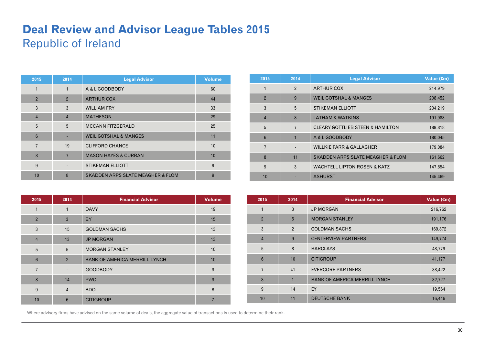### **Deal Review and Advisor League Tables 2015**  Republic of Ireland

| 2015           | 2014           | <b>Legal Advisor</b>                         | <b>Volume</b> |
|----------------|----------------|----------------------------------------------|---------------|
| $\mathbf{1}$   | $\mathbf{1}$   | A & L GOODBODY                               | 60            |
| $\overline{2}$ | $\overline{2}$ | <b>ARTHUR COX</b>                            | 44            |
| 3              | 3              | <b>WILLIAM FRY</b>                           | 33            |
| $\overline{4}$ | $\overline{4}$ | <b>MATHESON</b>                              | 29            |
| 5              | 5              | <b>MCCANN FITZGERALD</b>                     | 25            |
| $6\phantom{1}$ |                | <b>WEIL GOTSHAL &amp; MANGES</b>             | 11            |
| 7              | 19             | <b>CLIFFORD CHANCE</b>                       | 10            |
| 8              | $\overline{7}$ | <b>MASON HAYES &amp; CURRAN</b>              | 10            |
| 9              | $\overline{a}$ | <b>STIKEMAN ELLIOTT</b>                      | 9             |
| 10             | 8              | <b>SKADDEN ARPS SLATE MEAGHER &amp; FLOM</b> | 9             |

| 2015           | 2014           | <b>Legal Advisor</b>                         | Value (€m) |
|----------------|----------------|----------------------------------------------|------------|
| 1              | $\overline{2}$ | <b>ARTHUR COX</b>                            | 214,979    |
| $\overline{2}$ | 9              | <b>WEIL GOTSHAL &amp; MANGES</b>             | 208,452    |
| 3              | 5              | <b>STIKEMAN ELLIOTT</b>                      | 204,219    |
| $\overline{4}$ | 8              | <b>LATHAM &amp; WATKINS</b>                  | 191,983    |
| 5              | $\overline{7}$ | <b>CLEARY GOTTLIEB STEEN &amp; HAMILTON</b>  | 189,818    |
| 6              |                | A & L GOODBODY                               | 180,045    |
| $\overline{7}$ |                | <b>WILLKIE FARR &amp; GALLAGHER</b>          | 179,084    |
| 8              | 11             | <b>SKADDEN ARPS SLATE MEAGHER &amp; FLOM</b> | 161,662    |
| 9              | 3              | <b>WACHTELL LIPTON ROSEN &amp; KATZ</b>      | 147,854    |
| 10             |                | <b>ASHURST</b>                               | 145,469    |

| 2015           | 2014           | <b>Financial Advisor</b>             | <b>Volume</b>  |
|----------------|----------------|--------------------------------------|----------------|
| 1              | 1              | <b>DAVY</b>                          | 19             |
| $\overline{2}$ | $\mathbf{3}$   | EY                                   | 15             |
| 3              | 15             | <b>GOLDMAN SACHS</b>                 | 13             |
| $\overline{4}$ | 13             | <b>JP MORGAN</b>                     | 13             |
| 5              | 5              | <b>MORGAN STANLEY</b>                | 10             |
| $6\phantom{1}$ | $\overline{2}$ | <b>BANK OF AMERICA MERRILL LYNCH</b> | 10             |
| $\overline{7}$ |                | <b>GOODBODY</b>                      | 9              |
| 8              | 14             | <b>PWC</b>                           | 9              |
| 9              | $\overline{4}$ | <b>BDO</b>                           | 8              |
| 10             | 6              | <b>CITIGROUP</b>                     | $\overline{7}$ |

| 2015            | 2014           | <b>Financial Advisor</b>             | Value (€m) |
|-----------------|----------------|--------------------------------------|------------|
| $\mathbf{1}$    | 3              | <b>JP MORGAN</b>                     | 216,762    |
| $\overline{2}$  | 5              | <b>MORGAN STANLEY</b>                | 191,176    |
| 3               | $\overline{2}$ | <b>GOLDMAN SACHS</b>                 | 169,872    |
| $\overline{4}$  | 9              | <b>CENTERVIEW PARTNERS</b>           | 149,774    |
| 5               | 8              | <b>BARCLAYS</b>                      | 48,779     |
| $6\phantom{1}6$ | 10             | <b>CITIGROUP</b>                     | 41,177     |
| $\overline{7}$  | 41             | <b>EVERCORE PARTNERS</b>             | 38,422     |
| 8               | $\mathbf{1}$   | <b>BANK OF AMERICA MERRILL LYNCH</b> | 32,727     |
| 9               | 14             | EY                                   | 19,564     |
| 10              | 11             | <b>DEUTSCHE BANK</b>                 | 16,446     |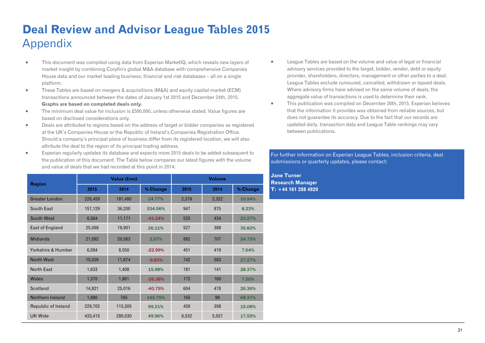## **Deal Review and Advisor League Tables 2015**  Appendix

- $\blacksquare$  This document was compiled using data from Experian MarketIQ, which reveals new layers of market insight by combining Corpfin's global M&A database with comprehensive Companies House data and our market leading business, financial and risk databases – all on a single platform.
- $\bullet$  These Tables are based on mergers & acquisitions (M&A) and equity capital market (ECM) transactions announced between the dates of January 1st 2015 and December 24th, 2015. **Graphs are based on completed deals only.**
- $\bullet$  The minimum deal value for inclusion is £500,000, unless otherwise stated. Value figures are based on disclosed considerations only.
- $\bullet$  Deals are attributed to regions based on the address of target or bidder companies as registered at the UK's Companies House or the Republic of Ireland's Companies Registration Office. Should a company's principal place of business differ from its registered location, we will also attribute the deal to the region of its principal trading address.
- $\blacksquare$  Experian regularly updates its database and expects more 2015 deals to be added subsequent to the publication of this document. The Table below compares our latest figures with the volume and value of deals that we had recorded at this point in 2014:

| <b>Region</b>         |              | Value (£ms) |           | <b>Volume</b> |       |          |  |
|-----------------------|--------------|-------------|-----------|---------------|-------|----------|--|
|                       | 2014<br>2015 |             | % Change  | 2015          | 2014  | % Change |  |
| <b>Greater London</b> | 226,459      | 181,495     | 24.77%    | 2,576         | 2,322 | 10.94%   |  |
| South East            | 157,129      | 36,200      | 334.06%   | 947           | 875   | 8.23%    |  |
| South West            | 6,564        | 11,171      | $-41.24%$ | 535           | 434   | 23.27%   |  |
| East of England       | 25,098       | 19,901      | 26.11%    | 527           | 388   | 35.82%   |  |
| <b>Midlands</b>       | 21,092       | 20,563      | 2.57%     | 882           | 707   | 24.75%   |  |
| Yorkshire & Humber    | 6,584        | 8,550       | $-22.99%$ | 451           | 419   | 7.64%    |  |
| North West            | 10,526       | 11,674      | $-9.83%$  | 742           | 583   | 27.27%   |  |
| North East            | 1,633        | 1,408       | 15.98%    | 181           | 141   | 28.37%   |  |
| Wales                 | 1,370        | 1,861       | $-26.38%$ | 172           | 160   | 7.50%    |  |
| Scotland              | 14,821       | 25,016      | $-40.75%$ | 604           | 478   | 26.36%   |  |
| Northern Ireland      | 1,880        | 765         | 145.75%   | 165           | 98    | 68.37%   |  |
| Republic of Ireland   | 229,702      | 115,305     | 99.21%    | 458           | 398   | 15.08%   |  |
| <b>UK Wide</b>        | 433,415      | 289,030     | 49.96%    | 6,532         | 5,557 | 17.55%   |  |

- $\bullet$  League Tables are based on the volume and value of legal or financial advisory services provided to the target, bidder, vendor, debt or equity provider, shareholders, directors, management or other parties to a deal. League Tables exclude rumoured, cancelled, withdrawn or lapsed deals. Where advisory firms have advised on the same volume of deals, the aggregate value of transactions is used to determine their rank.
- $\bullet$  This publication was compiled on December 30th, 2015. Experian believes that the information it provides was obtained from reliable sources, but does not guarantee its accuracy. Due to the fact that our records are updated daily, transaction data and League Table rankings may vary between publications.

#### For further information on Experian League Tables, inclusion criteria, deal submissions or quarterly updates, please contact:

**Jane Turner Research Manager T: +44 161 288 4920**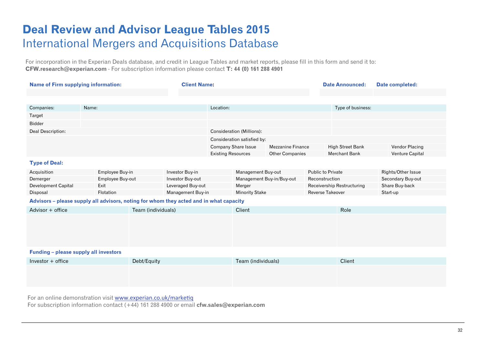### **Deal Review and Advisor League Tables 2015**  International Mergers and Acquisitions Database

For incorporation in the Experian Deals database, and credit in League Tables and market reports, please fill in this form and send it to: **CFW.research@experian.com** - For subscription information please contact **T: 44 (0) 161 288 4901** 

| <b>Name of Firm supplying information:</b>                                             |       |                  | <b>Client Name:</b> |                   |                           |                                           | <b>Date Announced:</b>    | <b>Date completed:</b>     |                         |                    |
|----------------------------------------------------------------------------------------|-------|------------------|---------------------|-------------------|---------------------------|-------------------------------------------|---------------------------|----------------------------|-------------------------|--------------------|
|                                                                                        |       |                  |                     |                   |                           |                                           |                           |                            |                         |                    |
|                                                                                        |       |                  |                     |                   |                           |                                           |                           |                            |                         |                    |
| Companies:                                                                             | Name: |                  |                     |                   | Location:                 |                                           |                           |                            | Type of business:       |                    |
| Target                                                                                 |       |                  |                     |                   |                           |                                           |                           |                            |                         |                    |
| <b>Bidder</b>                                                                          |       |                  |                     |                   |                           |                                           |                           |                            |                         |                    |
| Deal Description:                                                                      |       |                  |                     |                   |                           | <b>Consideration (Millions):</b>          |                           |                            |                         |                    |
|                                                                                        |       |                  |                     |                   |                           | Consideration satisfied by:               |                           |                            |                         |                    |
|                                                                                        |       |                  |                     |                   |                           | <b>Company Share Issue</b>                | <b>Mezzanine Finance</b>  |                            | <b>High Street Bank</b> | Vendor Placing     |
|                                                                                        |       |                  |                     |                   | <b>Existing Resources</b> |                                           | <b>Other Companies</b>    |                            | <b>Merchant Bank</b>    | Venture Capital    |
| <b>Type of Deal:</b>                                                                   |       |                  |                     |                   |                           |                                           |                           |                            |                         |                    |
| Acquisition                                                                            |       | Employee Buy-in  |                     | Investor Buy-in   |                           | Management Buy-out                        |                           | <b>Public to Private</b>   |                         | Rights/Other Issue |
| Demerger                                                                               |       | Employee Buy-out |                     | Investor Buy-out  |                           |                                           | Management Buy-in/Buy-out | Reconstruction             |                         | Secondary Buy-out  |
| Development Capital                                                                    |       | Exit             |                     | Leveraged Buy-out |                           | Merger                                    |                           | Receivership Restructuring |                         | Share Buy-back     |
| Disposal                                                                               |       | Flotation        |                     | Management Buy-in |                           | Reverse Takeover<br><b>Minority Stake</b> |                           |                            | Start-up                |                    |
| Advisors – please supply all advisors, noting for whom they acted and in what capacity |       |                  |                     |                   |                           |                                           |                           |                            |                         |                    |
| Advisor $+$ office                                                                     |       |                  | Team (individuals)  |                   |                           | <b>Client</b>                             |                           |                            | Role                    |                    |
|                                                                                        |       |                  |                     |                   |                           |                                           |                           |                            |                         |                    |
|                                                                                        |       |                  |                     |                   |                           |                                           |                           |                            |                         |                    |
|                                                                                        |       |                  |                     |                   |                           |                                           |                           |                            |                         |                    |
|                                                                                        |       |                  |                     |                   |                           |                                           |                           |                            |                         |                    |
| Funding - please supply all investors                                                  |       |                  |                     |                   |                           |                                           |                           |                            |                         |                    |
| Investor $+$ office                                                                    |       |                  | Debt/Equity         |                   |                           | Team (individuals)                        |                           |                            | Client                  |                    |
|                                                                                        |       |                  |                     |                   |                           |                                           |                           |                            |                         |                    |
|                                                                                        |       |                  |                     |                   |                           |                                           |                           |                            |                         |                    |
|                                                                                        |       |                  |                     |                   |                           |                                           |                           |                            |                         |                    |

For an online demonstration visit [www.experian.co.uk/marke](http://www.experian.co.uk/marketiq)tiq

For subscription information contact (+44) 161 288 4900 or email **cfw.sales@experian.com**